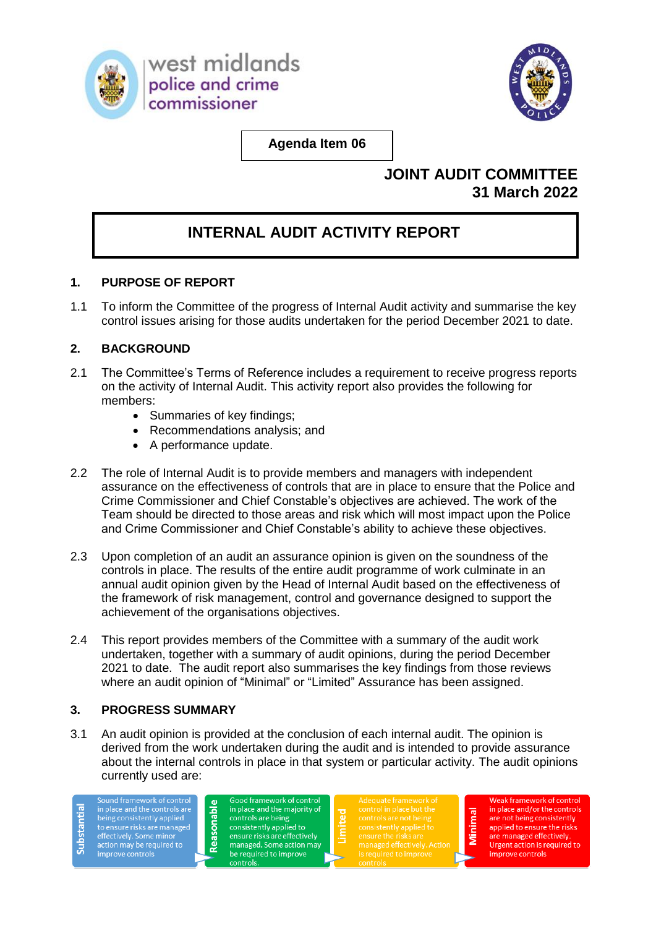



**Agenda Item 06**

# **JOINT AUDIT COMMITTEE 31 March 2022**

# **INTERNAL AUDIT ACTIVITY REPORT**

## **1. PURPOSE OF REPORT**

1.1 To inform the Committee of the progress of Internal Audit activity and summarise the key control issues arising for those audits undertaken for the period December 2021 to date.

## **2. BACKGROUND**

- 2.1 The Committee's Terms of Reference includes a requirement to receive progress reports on the activity of Internal Audit. This activity report also provides the following for members:
	- Summaries of key findings;
	- Recommendations analysis; and
	- A performance update.
- 2.2 The role of Internal Audit is to provide members and managers with independent assurance on the effectiveness of controls that are in place to ensure that the Police and Crime Commissioner and Chief Constable's objectives are achieved. The work of the Team should be directed to those areas and risk which will most impact upon the Police and Crime Commissioner and Chief Constable's ability to achieve these objectives.
- 2.3 Upon completion of an audit an assurance opinion is given on the soundness of the controls in place. The results of the entire audit programme of work culminate in an annual audit opinion given by the Head of Internal Audit based on the effectiveness of the framework of risk management, control and governance designed to support the achievement of the organisations objectives.
- 2.4 This report provides members of the Committee with a summary of the audit work undertaken, together with a summary of audit opinions, during the period December 2021 to date. The audit report also summarises the key findings from those reviews where an audit opinion of "Minimal" or "Limited" Assurance has been assigned.

## **3. PROGRESS SUMMARY**

3.1 An audit opinion is provided at the conclusion of each internal audit. The opinion is derived from the work undertaken during the audit and is intended to provide assurance about the internal controls in place in that system or particular activity. The audit opinions currently used are:

Sound framework of control<br>in place and the controls are<br>being consistently applied<br>to ensure risks are managed Substanti effectively. Some minor<br>action may be required to improve controls

Good framework of control in place and the majority of<br>controls are being<br>consistently applied to ensure risks are effectively managed. Some action may be required to improve controls

Reasonabl

Weak framework of control in place and/or the controls are not being consistently applied to ensure the risks are managed effectively. Urgent action is required to improve controls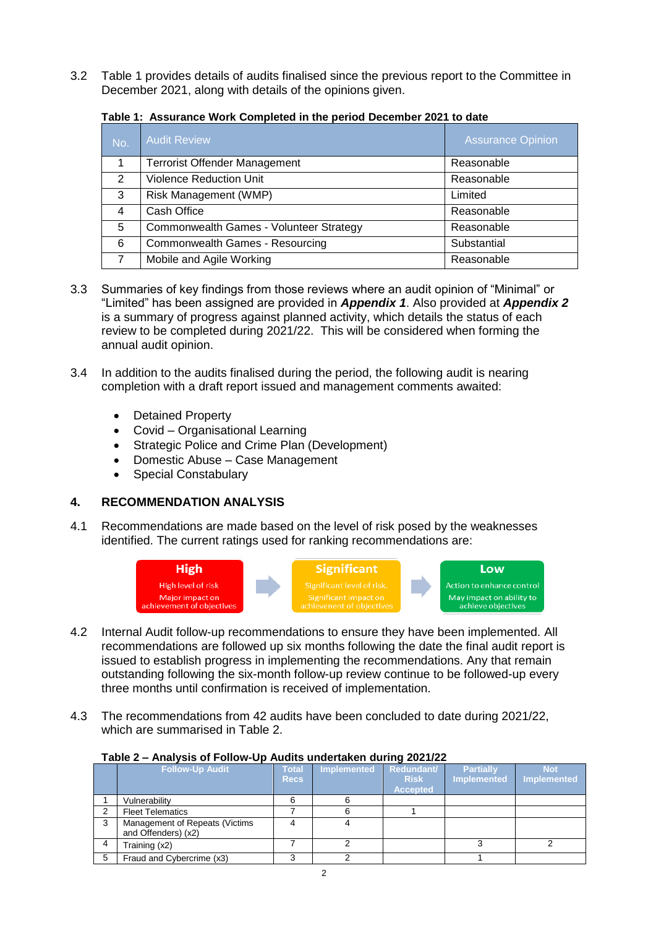3.2 Table 1 provides details of audits finalised since the previous report to the Committee in December 2021, along with details of the opinions given.

| No. | <b>Audit Review</b>                     | <b>Assurance Opinion</b> |
|-----|-----------------------------------------|--------------------------|
|     | <b>Terrorist Offender Management</b>    | Reasonable               |
| 2   | <b>Violence Reduction Unit</b>          | Reasonable               |
| 3   | Risk Management (WMP)                   | Limited                  |
| 4   | Cash Office                             | Reasonable               |
| 5   | Commonwealth Games - Volunteer Strategy | Reasonable               |
| 6   | Commonwealth Games - Resourcing         | Substantial              |
|     | Mobile and Agile Working                | Reasonable               |

#### **Table 1: Assurance Work Completed in the period December 2021 to date**

- 3.3 Summaries of key findings from those reviews where an audit opinion of "Minimal" or "Limited" has been assigned are provided in *Appendix 1*. Also provided at *Appendix 2* is a summary of progress against planned activity, which details the status of each review to be completed during 2021/22. This will be considered when forming the annual audit opinion.
- 3.4 In addition to the audits finalised during the period, the following audit is nearing completion with a draft report issued and management comments awaited:
	- Detained Property
	- Covid Organisational Learning
	- Strategic Police and Crime Plan (Development)
	- Domestic Abuse Case Management
	- Special Constabulary

#### **4. RECOMMENDATION ANALYSIS**

4.1 Recommendations are made based on the level of risk posed by the weaknesses identified. The current ratings used for ranking recommendations are:



- 4.2 Internal Audit follow-up recommendations to ensure they have been implemented. All recommendations are followed up six months following the date the final audit report is issued to establish progress in implementing the recommendations. Any that remain outstanding following the six-month follow-up review continue to be followed-up every three months until confirmation is received of implementation.
- 4.3 The recommendations from 42 audits have been concluded to date during 2021/22, which are summarised in Table 2.

#### **Table 2 – Analysis of Follow-Up Audits undertaken during 2021/22**

|   | <b>Follow-Up Audit</b>                                | Total<br><b>Recs</b> | <b>Implemented</b> | Redundant/<br><b>Risk</b><br><b>Accepted</b> | <b>Partially</b><br><b>Implemented</b> | <b>Not</b><br><b>Implemented</b> |
|---|-------------------------------------------------------|----------------------|--------------------|----------------------------------------------|----------------------------------------|----------------------------------|
|   | Vulnerability                                         |                      |                    |                                              |                                        |                                  |
|   | <b>Fleet Telematics</b>                               |                      |                    |                                              |                                        |                                  |
| 3 | Management of Repeats (Victims<br>and Offenders) (x2) |                      |                    |                                              |                                        |                                  |
|   | Training (x2)                                         |                      |                    |                                              |                                        |                                  |
|   | Fraud and Cybercrime (x3)                             |                      |                    |                                              |                                        |                                  |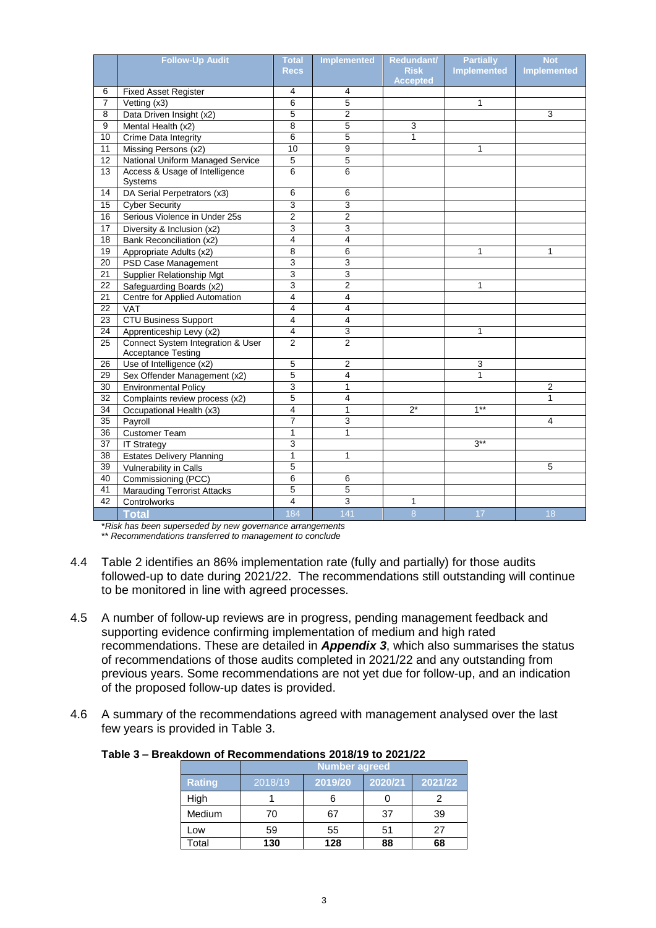| <b>Accepted</b><br>4<br>6<br><b>Fixed Asset Register</b><br>4<br>$\overline{7}$<br>6<br>5<br>Vetting (x3)<br>1<br>5<br>$\overline{2}$<br>3<br>8<br>Data Driven Insight (x2)<br>9<br>8<br>5<br>Mental Health (x2)<br>3<br>10<br>6<br>5<br>$\mathbf{1}$<br>Crime Data Integrity<br>Missing Persons (x2)<br>10<br>9<br>11<br>1<br>5<br>5<br>12<br>National Uniform Managed Service<br>Access & Usage of Intelligence<br>13<br>6<br>6<br>Systems<br>$\overline{6}$<br>14<br>6<br>DA Serial Perpetrators (x3)<br>3<br>3<br>15<br><b>Cyber Security</b><br>$\overline{2}$<br>Serious Violence in Under 25s<br>$\overline{2}$<br>16<br>3<br>17<br>3<br>Diversity & Inclusion (x2)<br>$\overline{4}$<br>$\overline{4}$<br>18<br>Bank Reconciliation (x2)<br>19<br>Appropriate Adults (x2)<br>8<br>6<br>1<br>1<br>3<br>20<br>3<br>PSD Case Management<br>$\overline{3}$<br>3<br>21<br><b>Supplier Relationship Mgt</b><br>$\overline{3}$<br>$\overline{2}$<br>22<br>1<br>Safeguarding Boards (x2)<br>4<br>$\overline{4}$<br>21<br>Centre for Applied Automation<br>$\overline{22}$<br>$\overline{4}$<br>$\overline{4}$<br><b>VAT</b><br>23<br><b>CTU Business Support</b><br>4<br>4<br>$\mathsf 3$<br>$\overline{\mathbf{4}}$<br>24<br>Apprenticeship Levy (x2)<br>1<br>Connect System Integration & User<br>$\overline{2}$<br>$\overline{2}$<br>$\overline{25}$<br><b>Acceptance Testing</b><br>$\overline{5}$<br>Use of Intelligence (x2)<br>$\overline{2}$<br>3<br>26<br>5<br>$\overline{4}$<br>29<br>Sex Offender Management (x2)<br>1<br>$\overline{3}$<br>$\overline{1}$<br>30<br>$\overline{2}$<br><b>Environmental Policy</b><br>5<br>$\overline{4}$<br>$\mathbf{1}$<br>32<br>Complaints review process (x2)<br>$1***$<br>$\overline{\mathbf{4}}$<br>$\mathbf{1}$<br>$2^*$<br>34<br>Occupational Health (x3)<br>35<br>3<br>7<br>4<br>Payroll<br>$\overline{36}$<br>$\mathbf{1}$<br>$\mathbf{1}$<br><b>Customer Team</b><br>$\overline{3}$<br>$3***$<br>$\overline{37}$<br><b>IT Strategy</b><br>$\mathbf{1}$<br>38<br>1<br><b>Estates Delivery Planning</b><br>5<br>39<br>5<br>Vulnerability in Calls<br>6<br>40<br>Commissioning (PCC)<br>6<br>5<br>41<br>5<br><b>Marauding Terrorist Attacks</b><br>$\overline{4}$<br>3<br>42<br>1<br>Controlworks<br>184<br>17<br>18 | <b>Follow-Up Audit</b> | <b>Total</b> | <b>Implemented</b> | Redundant/     | <b>Partially</b>   | <b>Not</b>         |
|------------------------------------------------------------------------------------------------------------------------------------------------------------------------------------------------------------------------------------------------------------------------------------------------------------------------------------------------------------------------------------------------------------------------------------------------------------------------------------------------------------------------------------------------------------------------------------------------------------------------------------------------------------------------------------------------------------------------------------------------------------------------------------------------------------------------------------------------------------------------------------------------------------------------------------------------------------------------------------------------------------------------------------------------------------------------------------------------------------------------------------------------------------------------------------------------------------------------------------------------------------------------------------------------------------------------------------------------------------------------------------------------------------------------------------------------------------------------------------------------------------------------------------------------------------------------------------------------------------------------------------------------------------------------------------------------------------------------------------------------------------------------------------------------------------------------------------------------------------------------------------------------------------------------------------------------------------------------------------------------------------------------------------------------------------------------------------------------------------------------------------------------------------------------------------------------------------------------------------------------------------------------|------------------------|--------------|--------------------|----------------|--------------------|--------------------|
|                                                                                                                                                                                                                                                                                                                                                                                                                                                                                                                                                                                                                                                                                                                                                                                                                                                                                                                                                                                                                                                                                                                                                                                                                                                                                                                                                                                                                                                                                                                                                                                                                                                                                                                                                                                                                                                                                                                                                                                                                                                                                                                                                                                                                                                                        |                        | <b>Recs</b>  |                    | <b>Risk</b>    | <b>Implemented</b> | <b>Implemented</b> |
|                                                                                                                                                                                                                                                                                                                                                                                                                                                                                                                                                                                                                                                                                                                                                                                                                                                                                                                                                                                                                                                                                                                                                                                                                                                                                                                                                                                                                                                                                                                                                                                                                                                                                                                                                                                                                                                                                                                                                                                                                                                                                                                                                                                                                                                                        |                        |              |                    |                |                    |                    |
|                                                                                                                                                                                                                                                                                                                                                                                                                                                                                                                                                                                                                                                                                                                                                                                                                                                                                                                                                                                                                                                                                                                                                                                                                                                                                                                                                                                                                                                                                                                                                                                                                                                                                                                                                                                                                                                                                                                                                                                                                                                                                                                                                                                                                                                                        |                        |              |                    |                |                    |                    |
|                                                                                                                                                                                                                                                                                                                                                                                                                                                                                                                                                                                                                                                                                                                                                                                                                                                                                                                                                                                                                                                                                                                                                                                                                                                                                                                                                                                                                                                                                                                                                                                                                                                                                                                                                                                                                                                                                                                                                                                                                                                                                                                                                                                                                                                                        |                        |              |                    |                |                    |                    |
|                                                                                                                                                                                                                                                                                                                                                                                                                                                                                                                                                                                                                                                                                                                                                                                                                                                                                                                                                                                                                                                                                                                                                                                                                                                                                                                                                                                                                                                                                                                                                                                                                                                                                                                                                                                                                                                                                                                                                                                                                                                                                                                                                                                                                                                                        |                        |              |                    |                |                    |                    |
|                                                                                                                                                                                                                                                                                                                                                                                                                                                                                                                                                                                                                                                                                                                                                                                                                                                                                                                                                                                                                                                                                                                                                                                                                                                                                                                                                                                                                                                                                                                                                                                                                                                                                                                                                                                                                                                                                                                                                                                                                                                                                                                                                                                                                                                                        |                        |              |                    |                |                    |                    |
|                                                                                                                                                                                                                                                                                                                                                                                                                                                                                                                                                                                                                                                                                                                                                                                                                                                                                                                                                                                                                                                                                                                                                                                                                                                                                                                                                                                                                                                                                                                                                                                                                                                                                                                                                                                                                                                                                                                                                                                                                                                                                                                                                                                                                                                                        |                        |              |                    |                |                    |                    |
|                                                                                                                                                                                                                                                                                                                                                                                                                                                                                                                                                                                                                                                                                                                                                                                                                                                                                                                                                                                                                                                                                                                                                                                                                                                                                                                                                                                                                                                                                                                                                                                                                                                                                                                                                                                                                                                                                                                                                                                                                                                                                                                                                                                                                                                                        |                        |              |                    |                |                    |                    |
|                                                                                                                                                                                                                                                                                                                                                                                                                                                                                                                                                                                                                                                                                                                                                                                                                                                                                                                                                                                                                                                                                                                                                                                                                                                                                                                                                                                                                                                                                                                                                                                                                                                                                                                                                                                                                                                                                                                                                                                                                                                                                                                                                                                                                                                                        |                        |              |                    |                |                    |                    |
|                                                                                                                                                                                                                                                                                                                                                                                                                                                                                                                                                                                                                                                                                                                                                                                                                                                                                                                                                                                                                                                                                                                                                                                                                                                                                                                                                                                                                                                                                                                                                                                                                                                                                                                                                                                                                                                                                                                                                                                                                                                                                                                                                                                                                                                                        |                        |              |                    |                |                    |                    |
|                                                                                                                                                                                                                                                                                                                                                                                                                                                                                                                                                                                                                                                                                                                                                                                                                                                                                                                                                                                                                                                                                                                                                                                                                                                                                                                                                                                                                                                                                                                                                                                                                                                                                                                                                                                                                                                                                                                                                                                                                                                                                                                                                                                                                                                                        |                        |              |                    |                |                    |                    |
|                                                                                                                                                                                                                                                                                                                                                                                                                                                                                                                                                                                                                                                                                                                                                                                                                                                                                                                                                                                                                                                                                                                                                                                                                                                                                                                                                                                                                                                                                                                                                                                                                                                                                                                                                                                                                                                                                                                                                                                                                                                                                                                                                                                                                                                                        |                        |              |                    |                |                    |                    |
|                                                                                                                                                                                                                                                                                                                                                                                                                                                                                                                                                                                                                                                                                                                                                                                                                                                                                                                                                                                                                                                                                                                                                                                                                                                                                                                                                                                                                                                                                                                                                                                                                                                                                                                                                                                                                                                                                                                                                                                                                                                                                                                                                                                                                                                                        |                        |              |                    |                |                    |                    |
|                                                                                                                                                                                                                                                                                                                                                                                                                                                                                                                                                                                                                                                                                                                                                                                                                                                                                                                                                                                                                                                                                                                                                                                                                                                                                                                                                                                                                                                                                                                                                                                                                                                                                                                                                                                                                                                                                                                                                                                                                                                                                                                                                                                                                                                                        |                        |              |                    |                |                    |                    |
|                                                                                                                                                                                                                                                                                                                                                                                                                                                                                                                                                                                                                                                                                                                                                                                                                                                                                                                                                                                                                                                                                                                                                                                                                                                                                                                                                                                                                                                                                                                                                                                                                                                                                                                                                                                                                                                                                                                                                                                                                                                                                                                                                                                                                                                                        |                        |              |                    |                |                    |                    |
|                                                                                                                                                                                                                                                                                                                                                                                                                                                                                                                                                                                                                                                                                                                                                                                                                                                                                                                                                                                                                                                                                                                                                                                                                                                                                                                                                                                                                                                                                                                                                                                                                                                                                                                                                                                                                                                                                                                                                                                                                                                                                                                                                                                                                                                                        |                        |              |                    |                |                    |                    |
|                                                                                                                                                                                                                                                                                                                                                                                                                                                                                                                                                                                                                                                                                                                                                                                                                                                                                                                                                                                                                                                                                                                                                                                                                                                                                                                                                                                                                                                                                                                                                                                                                                                                                                                                                                                                                                                                                                                                                                                                                                                                                                                                                                                                                                                                        |                        |              |                    |                |                    |                    |
|                                                                                                                                                                                                                                                                                                                                                                                                                                                                                                                                                                                                                                                                                                                                                                                                                                                                                                                                                                                                                                                                                                                                                                                                                                                                                                                                                                                                                                                                                                                                                                                                                                                                                                                                                                                                                                                                                                                                                                                                                                                                                                                                                                                                                                                                        |                        |              |                    |                |                    |                    |
|                                                                                                                                                                                                                                                                                                                                                                                                                                                                                                                                                                                                                                                                                                                                                                                                                                                                                                                                                                                                                                                                                                                                                                                                                                                                                                                                                                                                                                                                                                                                                                                                                                                                                                                                                                                                                                                                                                                                                                                                                                                                                                                                                                                                                                                                        |                        |              |                    |                |                    |                    |
|                                                                                                                                                                                                                                                                                                                                                                                                                                                                                                                                                                                                                                                                                                                                                                                                                                                                                                                                                                                                                                                                                                                                                                                                                                                                                                                                                                                                                                                                                                                                                                                                                                                                                                                                                                                                                                                                                                                                                                                                                                                                                                                                                                                                                                                                        |                        |              |                    |                |                    |                    |
|                                                                                                                                                                                                                                                                                                                                                                                                                                                                                                                                                                                                                                                                                                                                                                                                                                                                                                                                                                                                                                                                                                                                                                                                                                                                                                                                                                                                                                                                                                                                                                                                                                                                                                                                                                                                                                                                                                                                                                                                                                                                                                                                                                                                                                                                        |                        |              |                    |                |                    |                    |
|                                                                                                                                                                                                                                                                                                                                                                                                                                                                                                                                                                                                                                                                                                                                                                                                                                                                                                                                                                                                                                                                                                                                                                                                                                                                                                                                                                                                                                                                                                                                                                                                                                                                                                                                                                                                                                                                                                                                                                                                                                                                                                                                                                                                                                                                        |                        |              |                    |                |                    |                    |
|                                                                                                                                                                                                                                                                                                                                                                                                                                                                                                                                                                                                                                                                                                                                                                                                                                                                                                                                                                                                                                                                                                                                                                                                                                                                                                                                                                                                                                                                                                                                                                                                                                                                                                                                                                                                                                                                                                                                                                                                                                                                                                                                                                                                                                                                        |                        |              |                    |                |                    |                    |
|                                                                                                                                                                                                                                                                                                                                                                                                                                                                                                                                                                                                                                                                                                                                                                                                                                                                                                                                                                                                                                                                                                                                                                                                                                                                                                                                                                                                                                                                                                                                                                                                                                                                                                                                                                                                                                                                                                                                                                                                                                                                                                                                                                                                                                                                        |                        |              |                    |                |                    |                    |
|                                                                                                                                                                                                                                                                                                                                                                                                                                                                                                                                                                                                                                                                                                                                                                                                                                                                                                                                                                                                                                                                                                                                                                                                                                                                                                                                                                                                                                                                                                                                                                                                                                                                                                                                                                                                                                                                                                                                                                                                                                                                                                                                                                                                                                                                        |                        |              |                    |                |                    |                    |
|                                                                                                                                                                                                                                                                                                                                                                                                                                                                                                                                                                                                                                                                                                                                                                                                                                                                                                                                                                                                                                                                                                                                                                                                                                                                                                                                                                                                                                                                                                                                                                                                                                                                                                                                                                                                                                                                                                                                                                                                                                                                                                                                                                                                                                                                        |                        |              |                    |                |                    |                    |
|                                                                                                                                                                                                                                                                                                                                                                                                                                                                                                                                                                                                                                                                                                                                                                                                                                                                                                                                                                                                                                                                                                                                                                                                                                                                                                                                                                                                                                                                                                                                                                                                                                                                                                                                                                                                                                                                                                                                                                                                                                                                                                                                                                                                                                                                        |                        |              |                    |                |                    |                    |
|                                                                                                                                                                                                                                                                                                                                                                                                                                                                                                                                                                                                                                                                                                                                                                                                                                                                                                                                                                                                                                                                                                                                                                                                                                                                                                                                                                                                                                                                                                                                                                                                                                                                                                                                                                                                                                                                                                                                                                                                                                                                                                                                                                                                                                                                        |                        |              |                    |                |                    |                    |
|                                                                                                                                                                                                                                                                                                                                                                                                                                                                                                                                                                                                                                                                                                                                                                                                                                                                                                                                                                                                                                                                                                                                                                                                                                                                                                                                                                                                                                                                                                                                                                                                                                                                                                                                                                                                                                                                                                                                                                                                                                                                                                                                                                                                                                                                        |                        |              |                    |                |                    |                    |
|                                                                                                                                                                                                                                                                                                                                                                                                                                                                                                                                                                                                                                                                                                                                                                                                                                                                                                                                                                                                                                                                                                                                                                                                                                                                                                                                                                                                                                                                                                                                                                                                                                                                                                                                                                                                                                                                                                                                                                                                                                                                                                                                                                                                                                                                        |                        |              |                    |                |                    |                    |
|                                                                                                                                                                                                                                                                                                                                                                                                                                                                                                                                                                                                                                                                                                                                                                                                                                                                                                                                                                                                                                                                                                                                                                                                                                                                                                                                                                                                                                                                                                                                                                                                                                                                                                                                                                                                                                                                                                                                                                                                                                                                                                                                                                                                                                                                        |                        |              |                    |                |                    |                    |
|                                                                                                                                                                                                                                                                                                                                                                                                                                                                                                                                                                                                                                                                                                                                                                                                                                                                                                                                                                                                                                                                                                                                                                                                                                                                                                                                                                                                                                                                                                                                                                                                                                                                                                                                                                                                                                                                                                                                                                                                                                                                                                                                                                                                                                                                        |                        |              |                    |                |                    |                    |
|                                                                                                                                                                                                                                                                                                                                                                                                                                                                                                                                                                                                                                                                                                                                                                                                                                                                                                                                                                                                                                                                                                                                                                                                                                                                                                                                                                                                                                                                                                                                                                                                                                                                                                                                                                                                                                                                                                                                                                                                                                                                                                                                                                                                                                                                        |                        |              |                    |                |                    |                    |
|                                                                                                                                                                                                                                                                                                                                                                                                                                                                                                                                                                                                                                                                                                                                                                                                                                                                                                                                                                                                                                                                                                                                                                                                                                                                                                                                                                                                                                                                                                                                                                                                                                                                                                                                                                                                                                                                                                                                                                                                                                                                                                                                                                                                                                                                        |                        |              |                    |                |                    |                    |
|                                                                                                                                                                                                                                                                                                                                                                                                                                                                                                                                                                                                                                                                                                                                                                                                                                                                                                                                                                                                                                                                                                                                                                                                                                                                                                                                                                                                                                                                                                                                                                                                                                                                                                                                                                                                                                                                                                                                                                                                                                                                                                                                                                                                                                                                        |                        |              |                    |                |                    |                    |
|                                                                                                                                                                                                                                                                                                                                                                                                                                                                                                                                                                                                                                                                                                                                                                                                                                                                                                                                                                                                                                                                                                                                                                                                                                                                                                                                                                                                                                                                                                                                                                                                                                                                                                                                                                                                                                                                                                                                                                                                                                                                                                                                                                                                                                                                        |                        |              |                    |                |                    |                    |
|                                                                                                                                                                                                                                                                                                                                                                                                                                                                                                                                                                                                                                                                                                                                                                                                                                                                                                                                                                                                                                                                                                                                                                                                                                                                                                                                                                                                                                                                                                                                                                                                                                                                                                                                                                                                                                                                                                                                                                                                                                                                                                                                                                                                                                                                        |                        |              |                    |                |                    |                    |
|                                                                                                                                                                                                                                                                                                                                                                                                                                                                                                                                                                                                                                                                                                                                                                                                                                                                                                                                                                                                                                                                                                                                                                                                                                                                                                                                                                                                                                                                                                                                                                                                                                                                                                                                                                                                                                                                                                                                                                                                                                                                                                                                                                                                                                                                        | <b>Total</b>           |              | 141                | $\overline{8}$ |                    |                    |

\**Risk has been superseded by new governance arrangements*

\*\* *Recommendations transferred to management to conclude*

- 4.4 Table 2 identifies an 86% implementation rate (fully and partially) for those audits followed-up to date during 2021/22. The recommendations still outstanding will continue to be monitored in line with agreed processes.
- 4.5 A number of follow-up reviews are in progress, pending management feedback and supporting evidence confirming implementation of medium and high rated recommendations. These are detailed in *Appendix 3*, which also summarises the status of recommendations of those audits completed in 2021/22 and any outstanding from previous years. Some recommendations are not yet due for follow-up, and an indication of the proposed follow-up dates is provided.
- 4.6 A summary of the recommendations agreed with management analysed over the last few years is provided in Table 3.

|                    |         | <b>Number agreed</b> |         |         |  |  |  |  |  |  |  |  |  |
|--------------------|---------|----------------------|---------|---------|--|--|--|--|--|--|--|--|--|
| <b>Rating</b>      | 2018/19 | 2019/20              | 2020/21 | 2021/22 |  |  |  |  |  |  |  |  |  |
| High               |         | 6                    |         | 2       |  |  |  |  |  |  |  |  |  |
| Medium             | 70      |                      | 37      | 39      |  |  |  |  |  |  |  |  |  |
| Low                | 59      | 55                   | 51      | 27      |  |  |  |  |  |  |  |  |  |
| <sup>-</sup> Total | 130     | 128                  | 88      | 68      |  |  |  |  |  |  |  |  |  |

#### **Table 3 – Breakdown of Recommendations 2018/19 to 2021/22**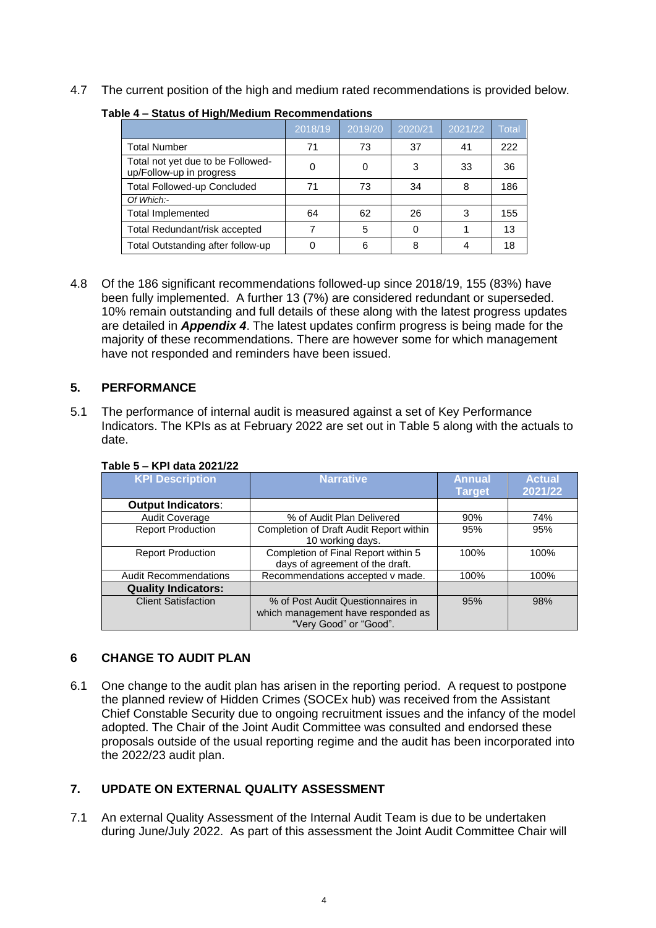4.7 The current position of the high and medium rated recommendations is provided below.

|                                                               | 2018/19 | 2019/20 | 2020/21 | 2021/22 | <b>Total</b> |
|---------------------------------------------------------------|---------|---------|---------|---------|--------------|
| <b>Total Number</b>                                           | 71      | 73      | 37      | 41      | 222          |
| Total not yet due to be Followed-<br>up/Follow-up in progress |         | 0       | 3       | 33      | 36           |
| <b>Total Followed-up Concluded</b>                            | 71      | 73      | 34      | 8       | 186          |
| Of Which:-                                                    |         |         |         |         |              |
| <b>Total Implemented</b>                                      | 64      | 62      | 26      | 3       | 155          |
| Total Redundant/risk accepted                                 |         | 5       |         |         | 13           |
| Total Outstanding after follow-up                             |         | 6       | 8       |         | 18           |

#### **Table 4 – Status of High/Medium Recommendations**

4.8 Of the 186 significant recommendations followed-up since 2018/19, 155 (83%) have been fully implemented. A further 13 (7%) are considered redundant or superseded. 10% remain outstanding and full details of these along with the latest progress updates are detailed in *Appendix 4*. The latest updates confirm progress is being made for the majority of these recommendations. There are however some for which management have not responded and reminders have been issued.

#### **5. PERFORMANCE**

5.1 The performance of internal audit is measured against a set of Key Performance Indicators. The KPIs as at February 2022 are set out in Table 5 along with the actuals to date.

| $1$ able J $-$ M $1$ uala 2021/22 |                                                                                                   |                                |                          |
|-----------------------------------|---------------------------------------------------------------------------------------------------|--------------------------------|--------------------------|
| <b>KPI Description</b>            | <b>Narrative</b>                                                                                  | <b>Annual</b><br><b>Target</b> | <b>Actual</b><br>2021/22 |
| <b>Output Indicators:</b>         |                                                                                                   |                                |                          |
| Audit Coverage                    | % of Audit Plan Delivered                                                                         | 90%                            | 74%                      |
| Report Production                 | Completion of Draft Audit Report within<br>10 working days.                                       | 95%                            | 95%                      |
| <b>Report Production</b>          | Completion of Final Report within 5<br>days of agreement of the draft.                            | 100%                           | 100%                     |
| <b>Audit Recommendations</b>      | Recommendations accepted v made.                                                                  | 100%                           | 100%                     |
| <b>Quality Indicators:</b>        |                                                                                                   |                                |                          |
| <b>Client Satisfaction</b>        | % of Post Audit Questionnaires in<br>which management have responded as<br>"Very Good" or "Good". | 95%                            | 98%                      |

## **Table 5 – KPI data 2021/22**

#### **6 CHANGE TO AUDIT PLAN**

6.1 One change to the audit plan has arisen in the reporting period. A request to postpone the planned review of Hidden Crimes (SOCEx hub) was received from the Assistant Chief Constable Security due to ongoing recruitment issues and the infancy of the model adopted. The Chair of the Joint Audit Committee was consulted and endorsed these proposals outside of the usual reporting regime and the audit has been incorporated into the 2022/23 audit plan.

## **7. UPDATE ON EXTERNAL QUALITY ASSESSMENT**

7.1 An external Quality Assessment of the Internal Audit Team is due to be undertaken during June/July 2022. As part of this assessment the Joint Audit Committee Chair will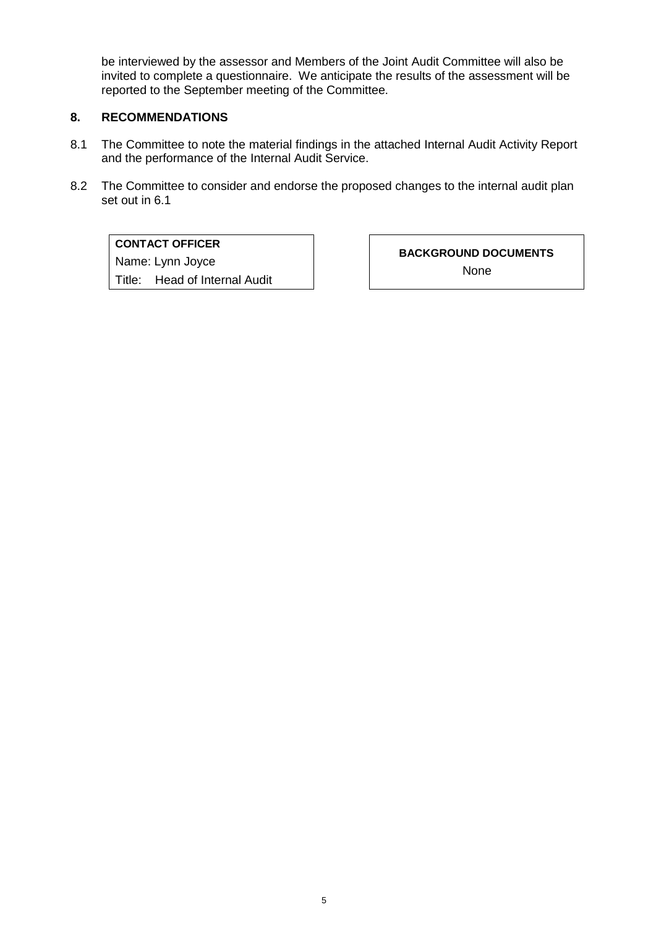be interviewed by the assessor and Members of the Joint Audit Committee will also be invited to complete a questionnaire. We anticipate the results of the assessment will be reported to the September meeting of the Committee.

## **8. RECOMMENDATIONS**

- 8.1 The Committee to note the material findings in the attached Internal Audit Activity Report and the performance of the Internal Audit Service.
- 8.2 The Committee to consider and endorse the proposed changes to the internal audit plan set out in 6.1

#### **CONTACT OFFICER**

Name: Lynn Joyce Title: Head of Internal Audit **BACKGROUND DOCUMENTS** None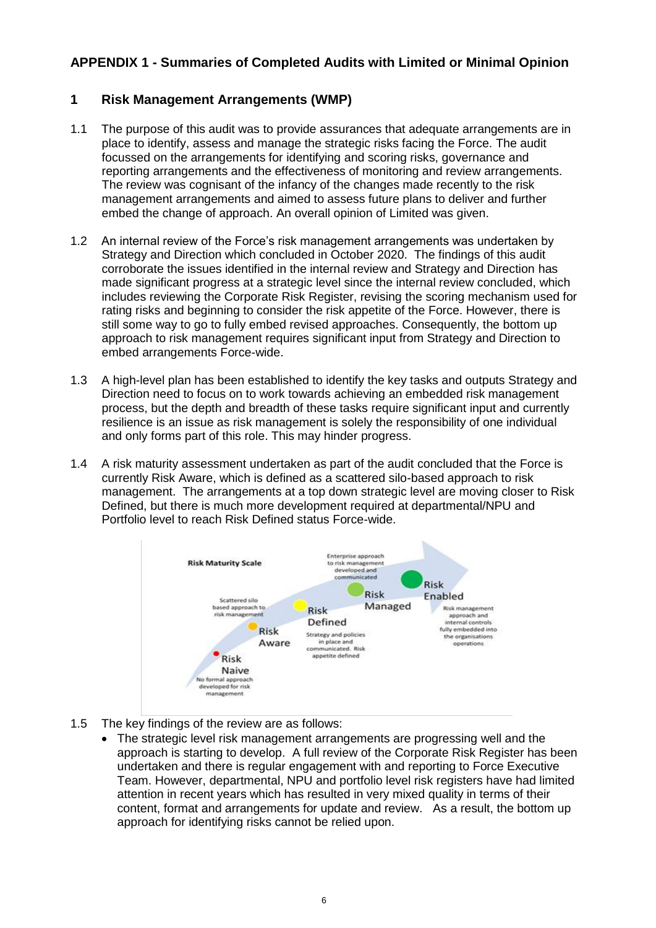## **APPENDIX 1 - Summaries of Completed Audits with Limited or Minimal Opinion**

## **1 Risk Management Arrangements (WMP)**

- 1.1 The purpose of this audit was to provide assurances that adequate arrangements are in place to identify, assess and manage the strategic risks facing the Force. The audit focussed on the arrangements for identifying and scoring risks, governance and reporting arrangements and the effectiveness of monitoring and review arrangements. The review was cognisant of the infancy of the changes made recently to the risk management arrangements and aimed to assess future plans to deliver and further embed the change of approach. An overall opinion of Limited was given.
- 1.2 An internal review of the Force's risk management arrangements was undertaken by Strategy and Direction which concluded in October 2020. The findings of this audit corroborate the issues identified in the internal review and Strategy and Direction has made significant progress at a strategic level since the internal review concluded, which includes reviewing the Corporate Risk Register, revising the scoring mechanism used for rating risks and beginning to consider the risk appetite of the Force. However, there is still some way to go to fully embed revised approaches. Consequently, the bottom up approach to risk management requires significant input from Strategy and Direction to embed arrangements Force-wide.
- 1.3 A high-level plan has been established to identify the key tasks and outputs Strategy and Direction need to focus on to work towards achieving an embedded risk management process, but the depth and breadth of these tasks require significant input and currently resilience is an issue as risk management is solely the responsibility of one individual and only forms part of this role. This may hinder progress.
- 1.4 A risk maturity assessment undertaken as part of the audit concluded that the Force is currently Risk Aware, which is defined as a scattered silo-based approach to risk management. The arrangements at a top down strategic level are moving closer to Risk Defined, but there is much more development required at departmental/NPU and Portfolio level to reach Risk Defined status Force-wide.



- 1.5 The key findings of the review are as follows:
	- The strategic level risk management arrangements are progressing well and the approach is starting to develop. A full review of the Corporate Risk Register has been undertaken and there is regular engagement with and reporting to Force Executive Team. However, departmental, NPU and portfolio level risk registers have had limited attention in recent years which has resulted in very mixed quality in terms of their content, format and arrangements for update and review. As a result, the bottom up approach for identifying risks cannot be relied upon.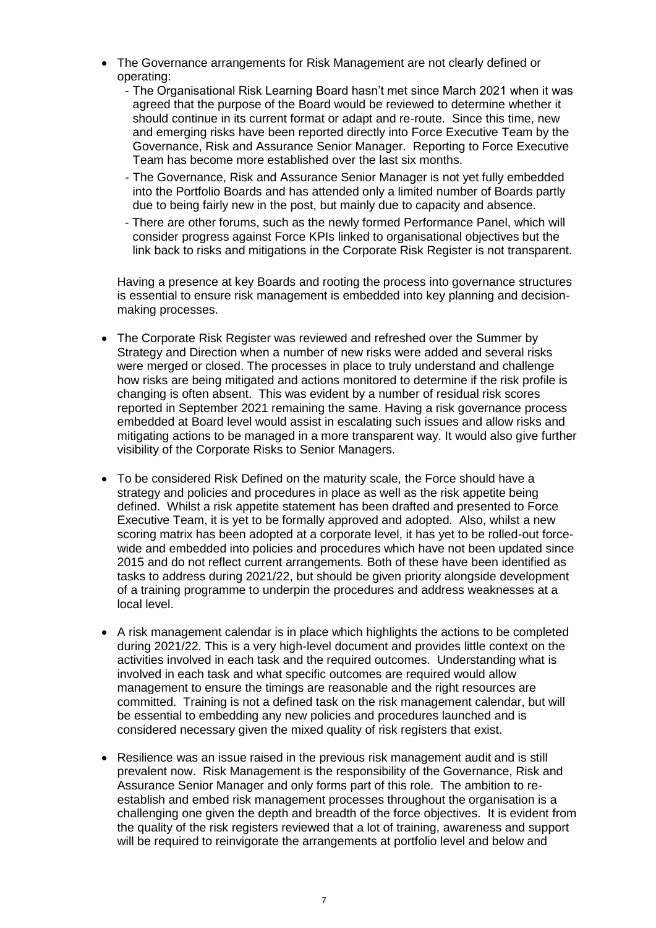- The Governance arrangements for Risk Management are not clearly defined or operating:
	- The Organisational Risk Learning Board hasn't met since March 2021 when it was agreed that the purpose of the Board would be reviewed to determine whether it should continue in its current format or adapt and re-route. Since this time, new and emerging risks have been reported directly into Force Executive Team by the Governance, Risk and Assurance Senior Manager. Reporting to Force Executive Team has become more established over the last six months.
	- The Governance, Risk and Assurance Senior Manager is not yet fully embedded into the Portfolio Boards and has attended only a limited number of Boards partly due to being fairly new in the post, but mainly due to capacity and absence.
	- There are other forums, such as the newly formed Performance Panel, which will consider progress against Force KPIs linked to organisational objectives but the link back to risks and mitigations in the Corporate Risk Register is not transparent.

Having a presence at key Boards and rooting the process into governance structures is essential to ensure risk management is embedded into key planning and decisionmaking processes.

- The Corporate Risk Register was reviewed and refreshed over the Summer by Strategy and Direction when a number of new risks were added and several risks were merged or closed. The processes in place to truly understand and challenge how risks are being mitigated and actions monitored to determine if the risk profile is changing is often absent. This was evident by a number of residual risk scores reported in September 2021 remaining the same. Having a risk governance process embedded at Board level would assist in escalating such issues and allow risks and mitigating actions to be managed in a more transparent way. It would also give further visibility of the Corporate Risks to Senior Managers.
- To be considered Risk Defined on the maturity scale, the Force should have a strategy and policies and procedures in place as well as the risk appetite being defined. Whilst a risk appetite statement has been drafted and presented to Force Executive Team, it is yet to be formally approved and adopted. Also, whilst a new scoring matrix has been adopted at a corporate level, it has yet to be rolled-out forcewide and embedded into policies and procedures which have not been updated since 2015 and do not reflect current arrangements. Both of these have been identified as tasks to address during 2021/22, but should be given priority alongside development of a training programme to underpin the procedures and address weaknesses at a local level.
- A risk management calendar is in place which highlights the actions to be completed during 2021/22. This is a very high-level document and provides little context on the activities involved in each task and the required outcomes. Understanding what is involved in each task and what specific outcomes are required would allow management to ensure the timings are reasonable and the right resources are committed. Training is not a defined task on the risk management calendar, but will be essential to embedding any new policies and procedures launched and is considered necessary given the mixed quality of risk registers that exist.
- Resilience was an issue raised in the previous risk management audit and is still prevalent now. Risk Management is the responsibility of the Governance, Risk and Assurance Senior Manager and only forms part of this role. The ambition to reestablish and embed risk management processes throughout the organisation is a challenging one given the depth and breadth of the force objectives. It is evident from the quality of the risk registers reviewed that a lot of training, awareness and support will be required to reinvigorate the arrangements at portfolio level and below and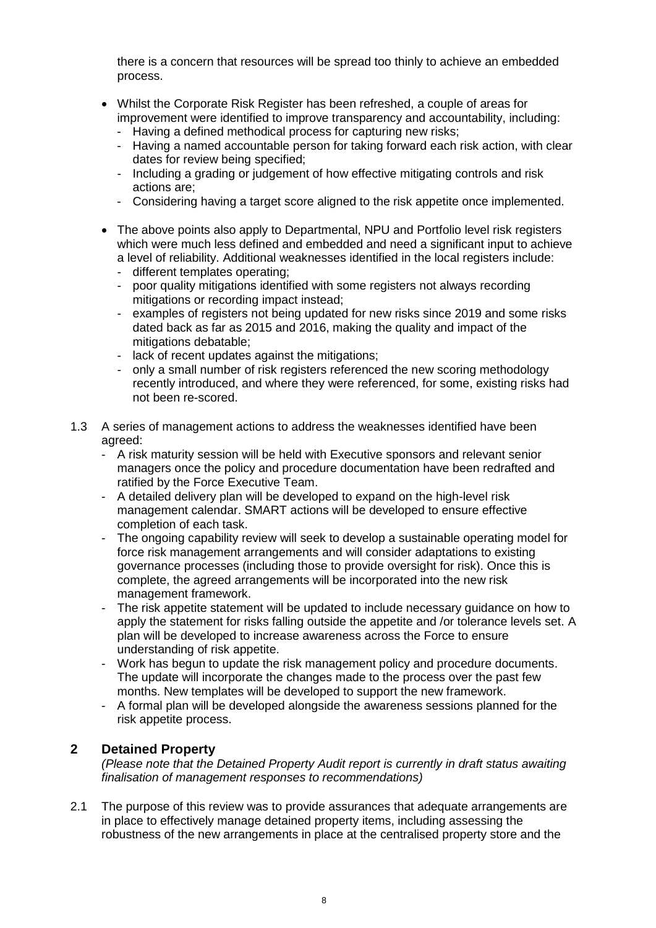there is a concern that resources will be spread too thinly to achieve an embedded process.

- Whilst the Corporate Risk Register has been refreshed, a couple of areas for improvement were identified to improve transparency and accountability, including:
	- Having a defined methodical process for capturing new risks;
	- Having a named accountable person for taking forward each risk action, with clear dates for review being specified;
	- Including a grading or judgement of how effective mitigating controls and risk actions are;
	- Considering having a target score aligned to the risk appetite once implemented.
- The above points also apply to Departmental, NPU and Portfolio level risk registers which were much less defined and embedded and need a significant input to achieve a level of reliability. Additional weaknesses identified in the local registers include:
	- different templates operating;
	- poor quality mitigations identified with some registers not always recording mitigations or recording impact instead;
	- examples of registers not being updated for new risks since 2019 and some risks dated back as far as 2015 and 2016, making the quality and impact of the mitigations debatable;
	- lack of recent updates against the mitigations;
	- only a small number of risk registers referenced the new scoring methodology recently introduced, and where they were referenced, for some, existing risks had not been re-scored.
- 1.3 A series of management actions to address the weaknesses identified have been agreed:
	- A risk maturity session will be held with Executive sponsors and relevant senior managers once the policy and procedure documentation have been redrafted and ratified by the Force Executive Team.
	- A detailed delivery plan will be developed to expand on the high-level risk management calendar. SMART actions will be developed to ensure effective completion of each task.
	- The ongoing capability review will seek to develop a sustainable operating model for force risk management arrangements and will consider adaptations to existing governance processes (including those to provide oversight for risk). Once this is complete, the agreed arrangements will be incorporated into the new risk management framework.
	- The risk appetite statement will be updated to include necessary guidance on how to apply the statement for risks falling outside the appetite and /or tolerance levels set. A plan will be developed to increase awareness across the Force to ensure understanding of risk appetite.
	- Work has begun to update the risk management policy and procedure documents. The update will incorporate the changes made to the process over the past few months. New templates will be developed to support the new framework.
	- A formal plan will be developed alongside the awareness sessions planned for the risk appetite process.

## **2 Detained Property**

*(Please note that the Detained Property Audit report is currently in draft status awaiting finalisation of management responses to recommendations)*

2.1 The purpose of this review was to provide assurances that adequate arrangements are in place to effectively manage detained property items, including assessing the robustness of the new arrangements in place at the centralised property store and the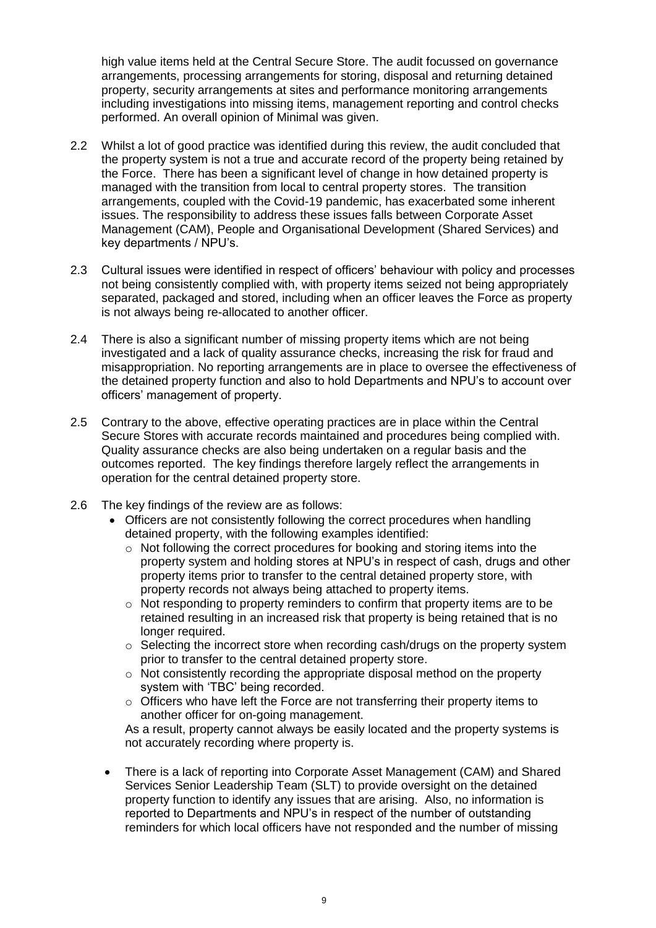high value items held at the Central Secure Store. The audit focussed on governance arrangements, processing arrangements for storing, disposal and returning detained property, security arrangements at sites and performance monitoring arrangements including investigations into missing items, management reporting and control checks performed. An overall opinion of Minimal was given.

- 2.2 Whilst a lot of good practice was identified during this review, the audit concluded that the property system is not a true and accurate record of the property being retained by the Force. There has been a significant level of change in how detained property is managed with the transition from local to central property stores. The transition arrangements, coupled with the Covid-19 pandemic, has exacerbated some inherent issues. The responsibility to address these issues falls between Corporate Asset Management (CAM), People and Organisational Development (Shared Services) and key departments / NPU's.
- 2.3 Cultural issues were identified in respect of officers' behaviour with policy and processes not being consistently complied with, with property items seized not being appropriately separated, packaged and stored, including when an officer leaves the Force as property is not always being re-allocated to another officer.
- 2.4 There is also a significant number of missing property items which are not being investigated and a lack of quality assurance checks, increasing the risk for fraud and misappropriation. No reporting arrangements are in place to oversee the effectiveness of the detained property function and also to hold Departments and NPU's to account over officers' management of property.
- 2.5 Contrary to the above, effective operating practices are in place within the Central Secure Stores with accurate records maintained and procedures being complied with. Quality assurance checks are also being undertaken on a regular basis and the outcomes reported. The key findings therefore largely reflect the arrangements in operation for the central detained property store.
- 2.6 The key findings of the review are as follows:
	- Officers are not consistently following the correct procedures when handling detained property, with the following examples identified:
		- o Not following the correct procedures for booking and storing items into the property system and holding stores at NPU's in respect of cash, drugs and other property items prior to transfer to the central detained property store, with property records not always being attached to property items.
		- $\circ$  Not responding to property reminders to confirm that property items are to be retained resulting in an increased risk that property is being retained that is no longer required.
		- $\circ$  Selecting the incorrect store when recording cash/drugs on the property system prior to transfer to the central detained property store.
		- $\circ$  Not consistently recording the appropriate disposal method on the property system with 'TBC' being recorded.
		- $\circ$  Officers who have left the Force are not transferring their property items to another officer for on-going management.

As a result, property cannot always be easily located and the property systems is not accurately recording where property is.

• There is a lack of reporting into Corporate Asset Management (CAM) and Shared Services Senior Leadership Team (SLT) to provide oversight on the detained property function to identify any issues that are arising. Also, no information is reported to Departments and NPU's in respect of the number of outstanding reminders for which local officers have not responded and the number of missing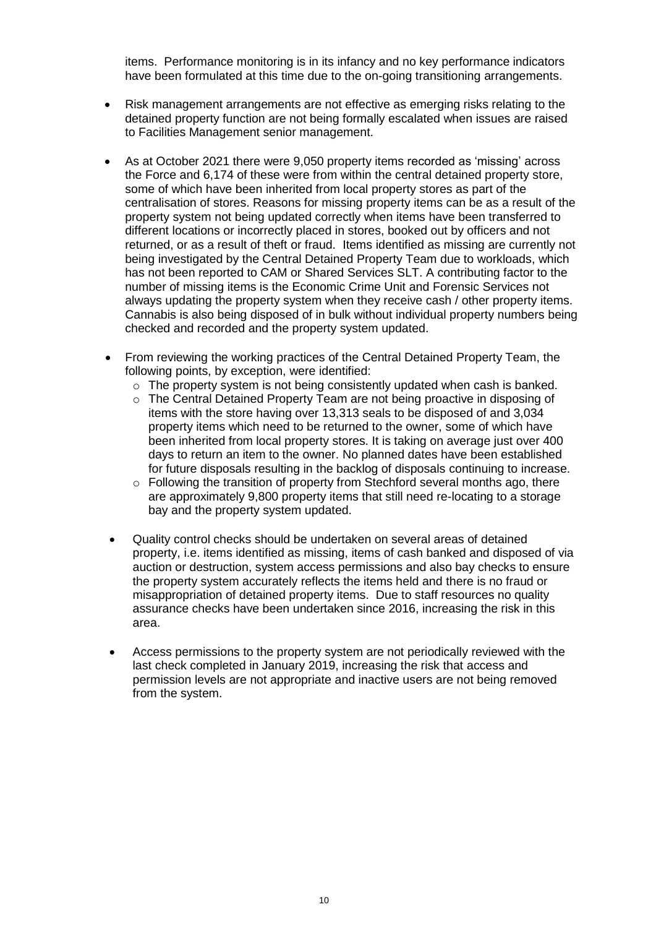items. Performance monitoring is in its infancy and no key performance indicators have been formulated at this time due to the on-going transitioning arrangements.

- Risk management arrangements are not effective as emerging risks relating to the detained property function are not being formally escalated when issues are raised to Facilities Management senior management.
- As at October 2021 there were 9,050 property items recorded as 'missing' across the Force and 6,174 of these were from within the central detained property store, some of which have been inherited from local property stores as part of the centralisation of stores. Reasons for missing property items can be as a result of the property system not being updated correctly when items have been transferred to different locations or incorrectly placed in stores, booked out by officers and not returned, or as a result of theft or fraud. Items identified as missing are currently not being investigated by the Central Detained Property Team due to workloads, which has not been reported to CAM or Shared Services SLT. A contributing factor to the number of missing items is the Economic Crime Unit and Forensic Services not always updating the property system when they receive cash / other property items. Cannabis is also being disposed of in bulk without individual property numbers being checked and recorded and the property system updated.
- From reviewing the working practices of the Central Detained Property Team, the following points, by exception, were identified:
	- $\circ$  The property system is not being consistently updated when cash is banked.
	- $\circ$  The Central Detained Property Team are not being proactive in disposing of items with the store having over 13,313 seals to be disposed of and 3,034 property items which need to be returned to the owner, some of which have been inherited from local property stores. It is taking on average just over 400 days to return an item to the owner. No planned dates have been established for future disposals resulting in the backlog of disposals continuing to increase.
	- $\circ$  Following the transition of property from Stechford several months ago, there are approximately 9,800 property items that still need re-locating to a storage bay and the property system updated.
- Quality control checks should be undertaken on several areas of detained property, i.e. items identified as missing, items of cash banked and disposed of via auction or destruction, system access permissions and also bay checks to ensure the property system accurately reflects the items held and there is no fraud or misappropriation of detained property items. Due to staff resources no quality assurance checks have been undertaken since 2016, increasing the risk in this area.
- Access permissions to the property system are not periodically reviewed with the last check completed in January 2019, increasing the risk that access and permission levels are not appropriate and inactive users are not being removed from the system.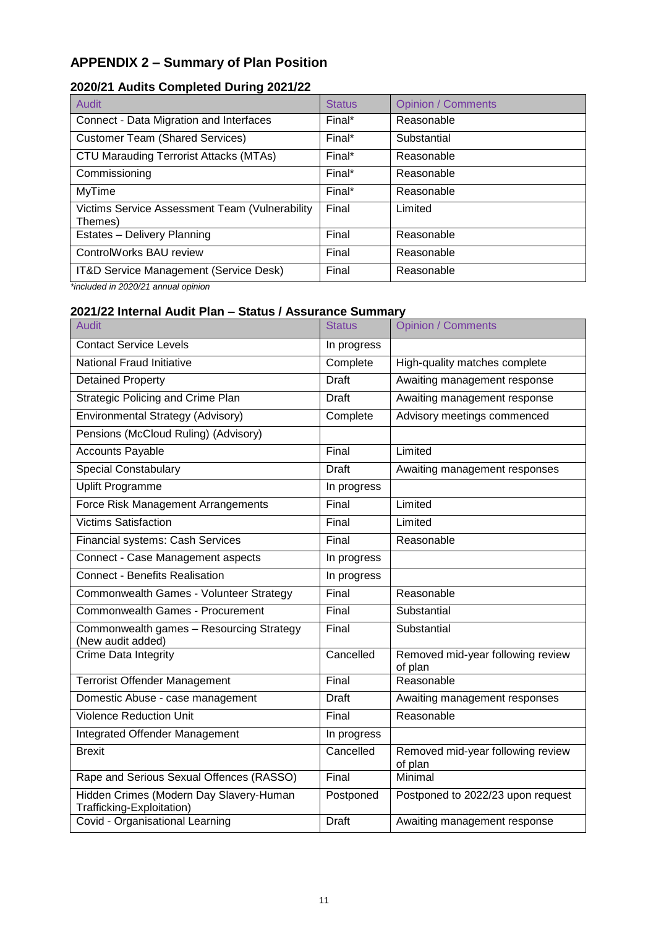# **APPENDIX 2 – Summary of Plan Position**

## **2020/21 Audits Completed During 2021/22**

| Audit                                                     | <b>Status</b> | <b>Opinion / Comments</b> |
|-----------------------------------------------------------|---------------|---------------------------|
| Connect - Data Migration and Interfaces                   | Final*        | Reasonable                |
| <b>Customer Team (Shared Services)</b>                    | Final*        | Substantial               |
| <b>CTU Marauding Terrorist Attacks (MTAs)</b>             | Final*        | Reasonable                |
| Commissioning                                             | Final*        | Reasonable                |
| <b>MyTime</b>                                             | Final*        | Reasonable                |
| Victims Service Assessment Team (Vulnerability<br>Themes) | Final         | Limited                   |
| Estates - Delivery Planning                               | Final         | Reasonable                |
| ControlWorks BAU review                                   | Final         | Reasonable                |
| IT&D Service Management (Service Desk)                    | Final         | Reasonable                |

*\*included in 2020/21 annual opinion*

## **2021/22 Internal Audit Plan – Status / Assurance Summary**

| <b>Audit</b>                                                         | <b>Status</b> | <b>Opinion / Comments</b>                    |
|----------------------------------------------------------------------|---------------|----------------------------------------------|
| <b>Contact Service Levels</b>                                        | In progress   |                                              |
| National Fraud Initiative                                            | Complete      | High-quality matches complete                |
| <b>Detained Property</b>                                             | <b>Draft</b>  | Awaiting management response                 |
| <b>Strategic Policing and Crime Plan</b>                             | Draft         | Awaiting management response                 |
| <b>Environmental Strategy (Advisory)</b>                             | Complete      | Advisory meetings commenced                  |
| Pensions (McCloud Ruling) (Advisory)                                 |               |                                              |
| <b>Accounts Payable</b>                                              | Final         | Limited                                      |
| <b>Special Constabulary</b>                                          | <b>Draft</b>  | Awaiting management responses                |
| <b>Uplift Programme</b>                                              | In progress   |                                              |
| Force Risk Management Arrangements                                   | Final         | Limited                                      |
| <b>Victims Satisfaction</b>                                          | Final         | Limited                                      |
| Financial systems: Cash Services                                     | Final         | Reasonable                                   |
| Connect - Case Management aspects                                    | In progress   |                                              |
| <b>Connect - Benefits Realisation</b>                                | In progress   |                                              |
| Commonwealth Games - Volunteer Strategy                              | Final         | Reasonable                                   |
| Commonwealth Games - Procurement                                     | Final         | Substantial                                  |
| Commonwealth games - Resourcing Strategy<br>(New audit added)        | Final         | Substantial                                  |
| <b>Crime Data Integrity</b>                                          | Cancelled     | Removed mid-year following review<br>of plan |
| <b>Terrorist Offender Management</b>                                 | Final         | Reasonable                                   |
| Domestic Abuse - case management                                     | <b>Draft</b>  | Awaiting management responses                |
| <b>Violence Reduction Unit</b>                                       | Final         | Reasonable                                   |
| <b>Integrated Offender Management</b>                                | In progress   |                                              |
| <b>Brexit</b>                                                        | Cancelled     | Removed mid-year following review<br>of plan |
| Rape and Serious Sexual Offences (RASSO)                             | Final         | Minimal                                      |
| Hidden Crimes (Modern Day Slavery-Human<br>Trafficking-Exploitation) | Postponed     | Postponed to 2022/23 upon request            |
| Covid - Organisational Learning                                      | <b>Draft</b>  | Awaiting management response                 |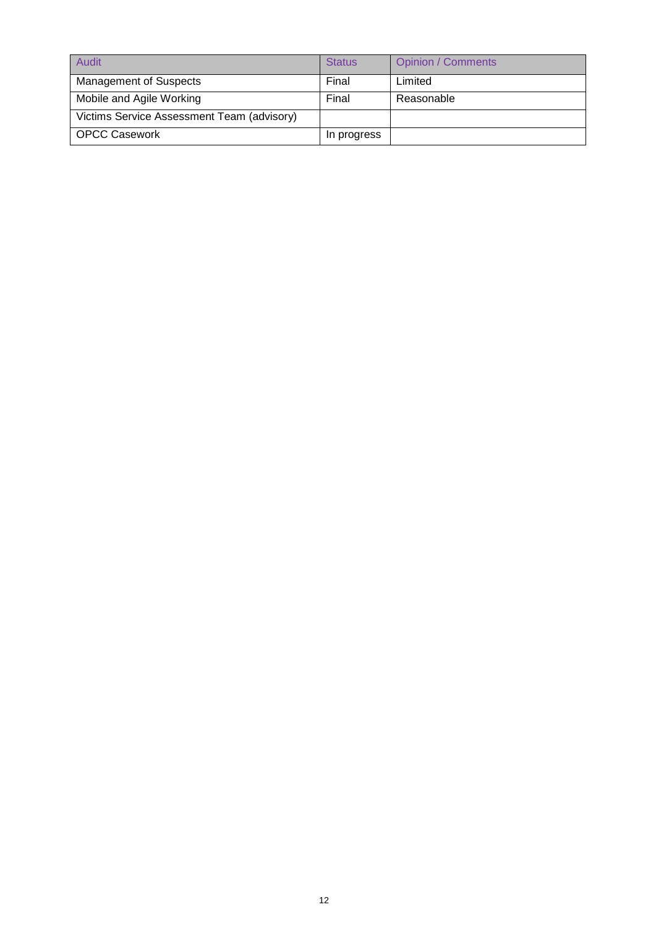| Audit                                      | <b>Status</b> | <b>Opinion / Comments</b> |
|--------------------------------------------|---------------|---------------------------|
| <b>Management of Suspects</b>              | Final         | Limited                   |
| Mobile and Agile Working                   | Final         | Reasonable                |
| Victims Service Assessment Team (advisory) |               |                           |
| <b>OPCC Casework</b>                       | In progress   |                           |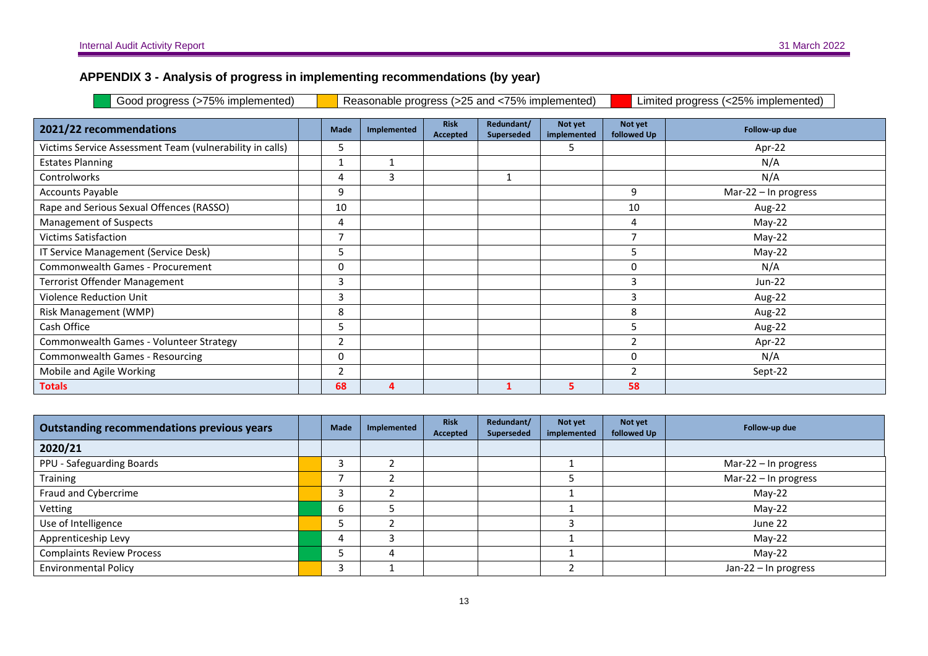#### **APPENDIX 3 - Analysis of progress in implementing recommendations (by year)**

Good progress (>75% implemented) **Reasonable progress (>25 and <75% implemented)** Limited progress (<25% implemented)

| 2021/22 recommendations                                  | <b>Made</b> | Implemented | <b>Risk</b><br>Accepted | Redundant/<br><b>Superseded</b> | Not yet<br>implemented | Not yet<br>followed Up | Follow-up due        |
|----------------------------------------------------------|-------------|-------------|-------------------------|---------------------------------|------------------------|------------------------|----------------------|
| Victims Service Assessment Team (vulnerability in calls) | כ           |             |                         |                                 | ╮                      |                        | Apr-22               |
| <b>Estates Planning</b>                                  |             | 1           |                         |                                 |                        |                        | N/A                  |
| <b>Controlworks</b>                                      | 4           | 3           |                         |                                 |                        |                        | N/A                  |
| <b>Accounts Payable</b>                                  | 9           |             |                         |                                 |                        | 9                      | Mar-22 - In progress |
| Rape and Serious Sexual Offences (RASSO)                 | 10          |             |                         |                                 |                        | 10                     | Aug-22               |
| <b>Management of Suspects</b>                            | 4           |             |                         |                                 |                        | 4                      | $May-22$             |
| <b>Victims Satisfaction</b>                              |             |             |                         |                                 |                        |                        | $May-22$             |
| IT Service Management (Service Desk)                     | כ           |             |                         |                                 |                        | ۰,                     | $May-22$             |
| Commonwealth Games - Procurement                         | $\Omega$    |             |                         |                                 |                        | $\Omega$               | N/A                  |
| <b>Terrorist Offender Management</b>                     | 3           |             |                         |                                 |                        | 3                      | Jun-22               |
| <b>Violence Reduction Unit</b>                           | 3           |             |                         |                                 |                        | 3                      | Aug-22               |
| Risk Management (WMP)                                    | 8           |             |                         |                                 |                        | 8                      | Aug-22               |
| Cash Office                                              | כ           |             |                         |                                 |                        | כ                      | Aug-22               |
| Commonwealth Games - Volunteer Strategy                  |             |             |                         |                                 |                        |                        | Apr-22               |
| <b>Commonwealth Games - Resourcing</b>                   | 0           |             |                         |                                 |                        | $\Omega$               | N/A                  |
| Mobile and Agile Working                                 |             |             |                         |                                 |                        |                        | Sept-22              |
| <b>Totals</b>                                            | 68          | 4           |                         |                                 | 5.                     | 58                     |                      |

| <b>Outstanding recommendations previous years</b> | Made | Implemented | Risk<br>Accepted | Redundant/<br>Superseded | Not yet<br>implemented | Not yet<br>followed Up | Follow-up due          |
|---------------------------------------------------|------|-------------|------------------|--------------------------|------------------------|------------------------|------------------------|
| 2020/21                                           |      |             |                  |                          |                        |                        |                        |
| PPU - Safeguarding Boards                         |      |             |                  |                          |                        |                        | Mar-22 $-$ In progress |
| Training                                          |      |             |                  |                          |                        |                        | Mar-22 - In progress   |
| Fraud and Cybercrime                              |      |             |                  |                          |                        |                        | $May-22$               |
| Vetting                                           | b    |             |                  |                          |                        |                        | $May-22$               |
| Use of Intelligence                               |      |             |                  |                          |                        |                        | June 22                |
| Apprenticeship Levy                               | 4    |             |                  |                          |                        |                        | $May-22$               |
| <b>Complaints Review Process</b>                  |      | 4           |                  |                          |                        |                        | $Mav-22$               |
| <b>Environmental Policy</b>                       | ຳ    |             |                  |                          |                        |                        | Jan-22 - In progress   |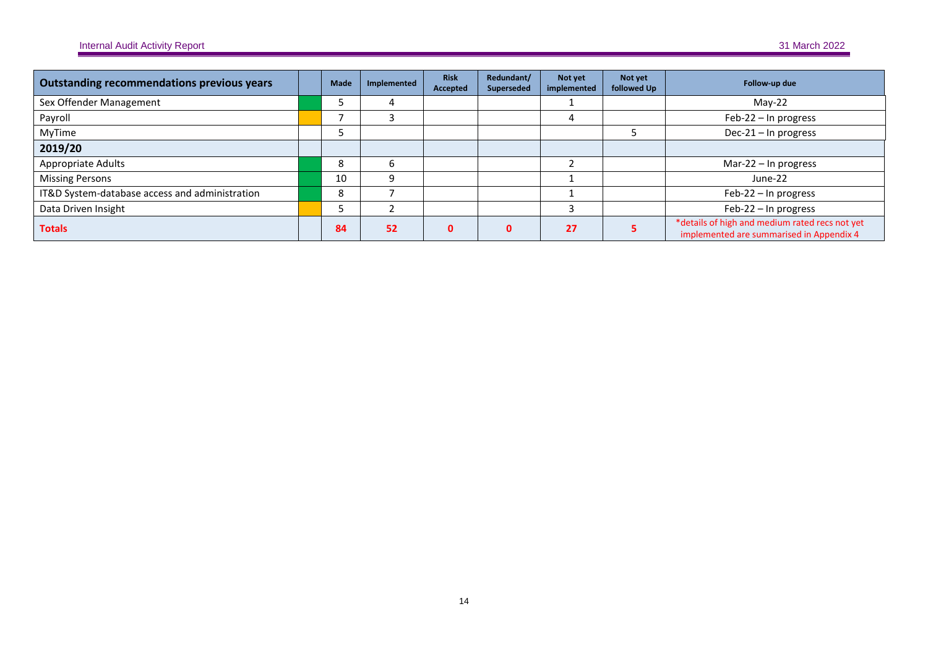| <b>Outstanding recommendations previous years</b> | Made | Implemented | <b>Risk</b><br>Accepted | Redundant/<br>Superseded | Not yet<br>implemented | Not yet<br>followed Up | Follow-up due                                                                              |
|---------------------------------------------------|------|-------------|-------------------------|--------------------------|------------------------|------------------------|--------------------------------------------------------------------------------------------|
| Sex Offender Management                           |      | 4           |                         |                          |                        |                        | $Mav-22$                                                                                   |
| Payroll                                           |      |             |                         |                          | 4                      |                        | Feb-22 - In progress                                                                       |
| MyTime                                            |      |             |                         |                          |                        |                        | Dec-21 - In progress                                                                       |
| 2019/20                                           |      |             |                         |                          |                        |                        |                                                                                            |
| Appropriate Adults                                | Õ    | b           |                         |                          |                        |                        | Mar-22 - In progress                                                                       |
| <b>Missing Persons</b>                            | 10   | 9           |                         |                          |                        |                        | June-22                                                                                    |
| IT&D System-database access and administration    | Õ    |             |                         |                          |                        |                        | Feb-22 - In progress                                                                       |
| Data Driven Insight                               |      |             |                         |                          |                        |                        | Feb-22 - In progress                                                                       |
| <b>Totals</b>                                     | 84   | 52          | $\Omega$                | n.                       | 27                     |                        | *details of high and medium rated recs not yet<br>implemented are summarised in Appendix 4 |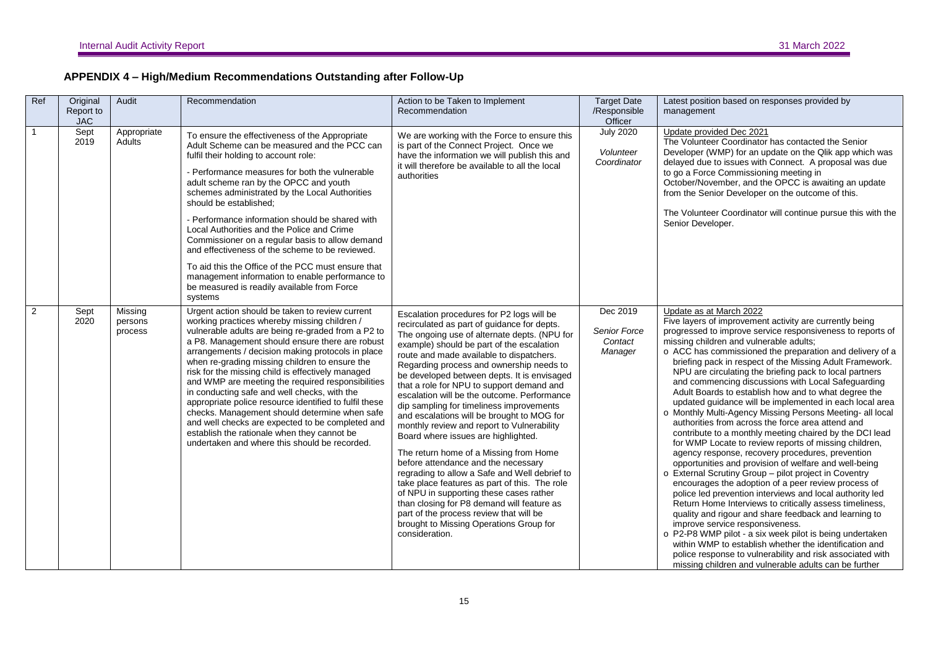| APPENDIX 4 – High/Medium Recommendations Outstanding after Follow-Up |  |  |
|----------------------------------------------------------------------|--|--|
|                                                                      |  |  |

| Ref          | Original<br>Report to<br><b>JAC</b> | Audit                         | Recommendation                                                                                                                                                                                                                                                                                                                                                                                                                                                                                                                                                                                                                                                                                                                           | Action to be Taken to Implement<br>Recommendation                                                                                                                                                                                                                                                                                                                                                                                                                                                                                                                                                                                                                                                                                                                                                                                                                                                                                                                                           | <b>Target Date</b><br>/Responsible<br>Officer         | Latest position based on responses provided by<br>management                                                                                                                                                                                                                                                                                                                                                                                                                                                                                                                                                                                                                                                                                                                                                                                                                                                                                                                                                                                                                                                                                                                                                                                                                                                                                                                                                                                                                              |
|--------------|-------------------------------------|-------------------------------|------------------------------------------------------------------------------------------------------------------------------------------------------------------------------------------------------------------------------------------------------------------------------------------------------------------------------------------------------------------------------------------------------------------------------------------------------------------------------------------------------------------------------------------------------------------------------------------------------------------------------------------------------------------------------------------------------------------------------------------|---------------------------------------------------------------------------------------------------------------------------------------------------------------------------------------------------------------------------------------------------------------------------------------------------------------------------------------------------------------------------------------------------------------------------------------------------------------------------------------------------------------------------------------------------------------------------------------------------------------------------------------------------------------------------------------------------------------------------------------------------------------------------------------------------------------------------------------------------------------------------------------------------------------------------------------------------------------------------------------------|-------------------------------------------------------|-------------------------------------------------------------------------------------------------------------------------------------------------------------------------------------------------------------------------------------------------------------------------------------------------------------------------------------------------------------------------------------------------------------------------------------------------------------------------------------------------------------------------------------------------------------------------------------------------------------------------------------------------------------------------------------------------------------------------------------------------------------------------------------------------------------------------------------------------------------------------------------------------------------------------------------------------------------------------------------------------------------------------------------------------------------------------------------------------------------------------------------------------------------------------------------------------------------------------------------------------------------------------------------------------------------------------------------------------------------------------------------------------------------------------------------------------------------------------------------------|
| $\mathbf{1}$ | Sept<br>2019                        | Appropriate<br>Adults         | To ensure the effectiveness of the Appropriate<br>Adult Scheme can be measured and the PCC can<br>fulfil their holding to account role:<br>- Performance measures for both the vulnerable<br>adult scheme ran by the OPCC and youth<br>schemes administrated by the Local Authorities<br>should be established;<br>- Performance information should be shared with<br>Local Authorities and the Police and Crime<br>Commissioner on a regular basis to allow demand<br>and effectiveness of the scheme to be reviewed.<br>To aid this the Office of the PCC must ensure that<br>management information to enable performance to<br>be measured is readily available from Force<br>systems                                                | We are working with the Force to ensure this<br>is part of the Connect Project. Once we<br>have the information we will publish this and<br>it will therefore be available to all the local<br>authorities                                                                                                                                                                                                                                                                                                                                                                                                                                                                                                                                                                                                                                                                                                                                                                                  | <b>July 2020</b><br>Volunteer<br>Coordinator          | Update provided Dec 2021<br>The Volunteer Coordinator has contacted the Senior<br>Developer (WMP) for an update on the Qlik app which was<br>delayed due to issues with Connect. A proposal was due<br>to go a Force Commissioning meeting in<br>October/November, and the OPCC is awaiting an update<br>from the Senior Developer on the outcome of this.<br>The Volunteer Coordinator will continue pursue this with the<br>Senior Developer.                                                                                                                                                                                                                                                                                                                                                                                                                                                                                                                                                                                                                                                                                                                                                                                                                                                                                                                                                                                                                                           |
| 2            | Sept<br>2020                        | Missing<br>persons<br>process | Urgent action should be taken to review current<br>working practices whereby missing children /<br>vulnerable adults are being re-graded from a P2 to<br>a P8. Management should ensure there are robust<br>arrangements / decision making protocols in place<br>when re-grading missing children to ensure the<br>risk for the missing child is effectively managed<br>and WMP are meeting the required responsibilities<br>in conducting safe and well checks, with the<br>appropriate police resource identified to fulfil these<br>checks. Management should determine when safe<br>and well checks are expected to be completed and<br>establish the rationale when they cannot be<br>undertaken and where this should be recorded. | Escalation procedures for P2 logs will be<br>recirculated as part of guidance for depts.<br>The ongoing use of alternate depts. (NPU for<br>example) should be part of the escalation<br>route and made available to dispatchers.<br>Regarding process and ownership needs to<br>be developed between depts. It is envisaged<br>that a role for NPU to support demand and<br>escalation will be the outcome. Performance<br>dip sampling for timeliness improvements<br>and escalations will be brought to MOG for<br>monthly review and report to Vulnerability<br>Board where issues are highlighted.<br>The return home of a Missing from Home<br>before attendance and the necessary<br>regrading to allow a Safe and Well debrief to<br>take place features as part of this. The role<br>of NPU in supporting these cases rather<br>than closing for P8 demand will feature as<br>part of the process review that will be<br>brought to Missing Operations Group for<br>consideration. | Dec 2019<br><b>Senior Force</b><br>Contact<br>Manager | Update as at March 2022<br>Five layers of improvement activity are currently being<br>progressed to improve service responsiveness to reports of<br>missing children and vulnerable adults;<br>o ACC has commissioned the preparation and delivery of a<br>briefing pack in respect of the Missing Adult Framework.<br>NPU are circulating the briefing pack to local partners<br>and commencing discussions with Local Safeguarding<br>Adult Boards to establish how and to what degree the<br>updated guidance will be implemented in each local area<br>o Monthly Multi-Agency Missing Persons Meeting- all local<br>authorities from across the force area attend and<br>contribute to a monthly meeting chaired by the DCI lead<br>for WMP Locate to review reports of missing children,<br>agency response, recovery procedures, prevention<br>opportunities and provision of welfare and well-being<br>o External Scrutiny Group - pilot project in Coventry<br>encourages the adoption of a peer review process of<br>police led prevention interviews and local authority led<br>Return Home Interviews to critically assess timeliness,<br>quality and rigour and share feedback and learning to<br>improve service responsiveness.<br>o P2-P8 WMP pilot - a six week pilot is being undertaken<br>within WMP to establish whether the identification and<br>police response to vulnerability and risk associated with<br>missing children and vulnerable adults can be further |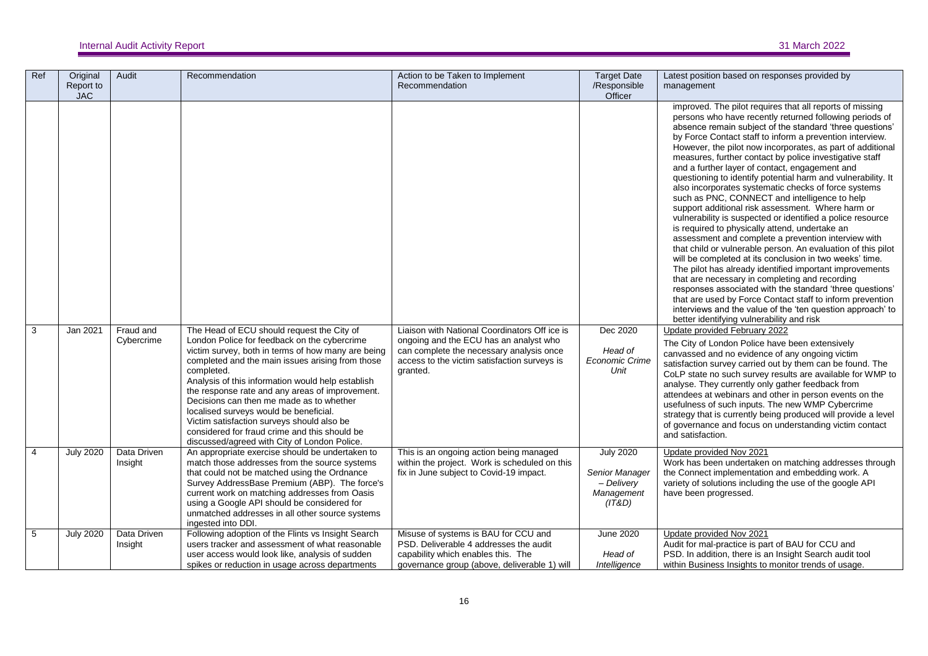| Ref            | Original<br>Report to<br><b>JAC</b> | Audit                   | Recommendation                                                                                                                                                                                                                                                                                                                                                                                                                                                                                                                                                  | Action to be Taken to Implement<br>Recommendation                                                                                                                                               | <b>Target Date</b><br>/Responsible<br>Officer                            | Latest position based on responses provided by<br>management                                                                                                                                                                                                                                                                                                                                                                                                                                                                                                                                                                                                                                                                                                                                                                                                                                                                                                                                                                                                                                                                                                                                                                                                                                            |
|----------------|-------------------------------------|-------------------------|-----------------------------------------------------------------------------------------------------------------------------------------------------------------------------------------------------------------------------------------------------------------------------------------------------------------------------------------------------------------------------------------------------------------------------------------------------------------------------------------------------------------------------------------------------------------|-------------------------------------------------------------------------------------------------------------------------------------------------------------------------------------------------|--------------------------------------------------------------------------|---------------------------------------------------------------------------------------------------------------------------------------------------------------------------------------------------------------------------------------------------------------------------------------------------------------------------------------------------------------------------------------------------------------------------------------------------------------------------------------------------------------------------------------------------------------------------------------------------------------------------------------------------------------------------------------------------------------------------------------------------------------------------------------------------------------------------------------------------------------------------------------------------------------------------------------------------------------------------------------------------------------------------------------------------------------------------------------------------------------------------------------------------------------------------------------------------------------------------------------------------------------------------------------------------------|
|                |                                     |                         |                                                                                                                                                                                                                                                                                                                                                                                                                                                                                                                                                                 |                                                                                                                                                                                                 |                                                                          | improved. The pilot requires that all reports of missing<br>persons who have recently returned following periods of<br>absence remain subject of the standard 'three questions'<br>by Force Contact staff to inform a prevention interview.<br>However, the pilot now incorporates, as part of additional<br>measures, further contact by police investigative staff<br>and a further layer of contact, engagement and<br>questioning to identify potential harm and vulnerability. It<br>also incorporates systematic checks of force systems<br>such as PNC, CONNECT and intelligence to help<br>support additional risk assessment. Where harm or<br>vulnerability is suspected or identified a police resource<br>is required to physically attend, undertake an<br>assessment and complete a prevention interview with<br>that child or vulnerable person. An evaluation of this pilot<br>will be completed at its conclusion in two weeks' time.<br>The pilot has already identified important improvements<br>that are necessary in completing and recording<br>responses associated with the standard 'three questions'<br>that are used by Force Contact staff to inform prevention<br>interviews and the value of the 'ten question approach' to<br>better identifying vulnerability and risk |
| 3              | Jan 2021                            | Fraud and<br>Cybercrime | The Head of ECU should request the City of<br>London Police for feedback on the cybercrime<br>victim survey, both in terms of how many are being<br>completed and the main issues arising from those<br>completed.<br>Analysis of this information would help establish<br>the response rate and any areas of improvement.<br>Decisions can then me made as to whether<br>localised surveys would be beneficial.<br>Victim satisfaction surveys should also be<br>considered for fraud crime and this should be<br>discussed/agreed with City of London Police. | Liaison with National Coordinators Off ice is<br>ongoing and the ECU has an analyst who<br>can complete the necessary analysis once<br>access to the victim satisfaction surveys is<br>granted. | Dec 2020<br>Head of<br><b>Economic Crime</b><br>Unit                     | Update provided February 2022<br>The City of London Police have been extensively<br>canvassed and no evidence of any ongoing victim<br>satisfaction survey carried out by them can be found. The<br>CoLP state no such survey results are available for WMP to<br>analyse. They currently only gather feedback from<br>attendees at webinars and other in person events on the<br>usefulness of such inputs. The new WMP Cybercrime<br>strategy that is currently being produced will provide a level<br>of governance and focus on understanding victim contact<br>and satisfaction.                                                                                                                                                                                                                                                                                                                                                                                                                                                                                                                                                                                                                                                                                                                   |
| $\overline{4}$ | <b>July 2020</b>                    | Data Driven<br>Insight  | An appropriate exercise should be undertaken to<br>match those addresses from the source systems<br>that could not be matched using the Ordnance<br>Survey AddressBase Premium (ABP). The force's<br>current work on matching addresses from Oasis<br>using a Google API should be considered for<br>unmatched addresses in all other source systems<br>ingested into DDI.                                                                                                                                                                                      | This is an ongoing action being managed<br>within the project. Work is scheduled on this<br>fix in June subject to Covid-19 impact.                                                             | <b>July 2020</b><br>Senior Manager<br>- Delivery<br>Management<br>(IT&D) | Update provided Nov 2021<br>Work has been undertaken on matching addresses through<br>the Connect implementation and embedding work. A<br>variety of solutions including the use of the google API<br>have been progressed.                                                                                                                                                                                                                                                                                                                                                                                                                                                                                                                                                                                                                                                                                                                                                                                                                                                                                                                                                                                                                                                                             |
| 5              | <b>July 2020</b>                    | Data Driven<br>Insight  | Following adoption of the Flints vs Insight Search<br>users tracker and assessment of what reasonable<br>user access would look like, analysis of sudden<br>spikes or reduction in usage across departments                                                                                                                                                                                                                                                                                                                                                     | Misuse of systems is BAU for CCU and<br>PSD. Deliverable 4 addresses the audit<br>capability which enables this. The<br>governance group (above, deliverable 1) will                            | <b>June 2020</b><br>Head of<br>Intelligence                              | Update provided Nov 2021<br>Audit for mal-practice is part of BAU for CCU and<br>PSD. In addition, there is an Insight Search audit tool<br>within Business Insights to monitor trends of usage.                                                                                                                                                                                                                                                                                                                                                                                                                                                                                                                                                                                                                                                                                                                                                                                                                                                                                                                                                                                                                                                                                                        |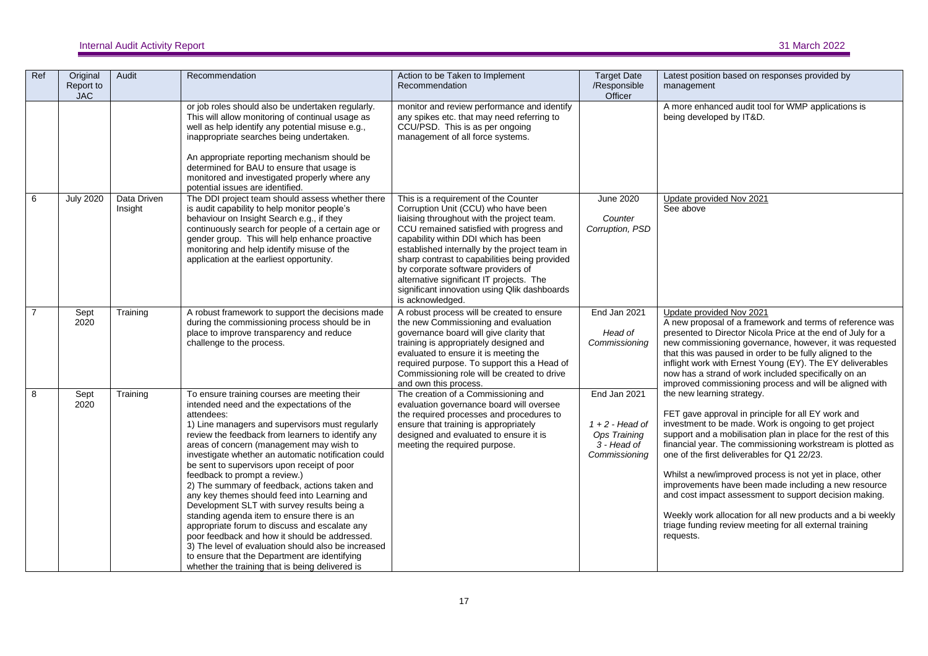| Ref            | Original<br>Report to<br><b>JAC</b> | Audit                  | Recommendation                                                                                                                                                                                                                                                                                                                                                                                                                                                                                                                                                                                                                                                                                                                                                                                                                                                | Action to be Taken to Implement<br>Recommendation                                                                                                                                                                                                                                                                                                                                                                                                                     | <b>Target Date</b><br>/Responsible<br>Officer                                       | Latest position based on responses provided by<br>management                                                                                                                                                                                                                                                                                                                                                                                                                                                                                                                                                                                 |
|----------------|-------------------------------------|------------------------|---------------------------------------------------------------------------------------------------------------------------------------------------------------------------------------------------------------------------------------------------------------------------------------------------------------------------------------------------------------------------------------------------------------------------------------------------------------------------------------------------------------------------------------------------------------------------------------------------------------------------------------------------------------------------------------------------------------------------------------------------------------------------------------------------------------------------------------------------------------|-----------------------------------------------------------------------------------------------------------------------------------------------------------------------------------------------------------------------------------------------------------------------------------------------------------------------------------------------------------------------------------------------------------------------------------------------------------------------|-------------------------------------------------------------------------------------|----------------------------------------------------------------------------------------------------------------------------------------------------------------------------------------------------------------------------------------------------------------------------------------------------------------------------------------------------------------------------------------------------------------------------------------------------------------------------------------------------------------------------------------------------------------------------------------------------------------------------------------------|
|                |                                     |                        | or job roles should also be undertaken regularly.<br>This will allow monitoring of continual usage as<br>well as help identify any potential misuse e.g.,<br>inappropriate searches being undertaken.<br>An appropriate reporting mechanism should be<br>determined for BAU to ensure that usage is<br>monitored and investigated properly where any<br>potential issues are identified.                                                                                                                                                                                                                                                                                                                                                                                                                                                                      | monitor and review performance and identify<br>any spikes etc. that may need referring to<br>CCU/PSD. This is as per ongoing<br>management of all force systems.                                                                                                                                                                                                                                                                                                      |                                                                                     | A more enhanced audit tool for WMP applications is<br>being developed by IT&D.                                                                                                                                                                                                                                                                                                                                                                                                                                                                                                                                                               |
| 6              | <b>July 2020</b>                    | Data Driven<br>Insight | The DDI project team should assess whether there<br>is audit capability to help monitor people's<br>behaviour on Insight Search e.g., if they<br>continuously search for people of a certain age or<br>gender group. This will help enhance proactive<br>monitoring and help identify misuse of the<br>application at the earliest opportunity.                                                                                                                                                                                                                                                                                                                                                                                                                                                                                                               | This is a requirement of the Counter<br>Corruption Unit (CCU) who have been<br>liaising throughout with the project team.<br>CCU remained satisfied with progress and<br>capability within DDI which has been<br>established internally by the project team in<br>sharp contrast to capabilities being provided<br>by corporate software providers of<br>alternative significant IT projects. The<br>significant innovation using Qlik dashboards<br>is acknowledged. | June 2020<br>Counter<br>Corruption, PSD                                             | Update provided Nov 2021<br>See above                                                                                                                                                                                                                                                                                                                                                                                                                                                                                                                                                                                                        |
| $\overline{7}$ | Sept<br>2020                        | Training               | A robust framework to support the decisions made<br>during the commissioning process should be in<br>place to improve transparency and reduce<br>challenge to the process.                                                                                                                                                                                                                                                                                                                                                                                                                                                                                                                                                                                                                                                                                    | A robust process will be created to ensure<br>the new Commissioning and evaluation<br>governance board will give clarity that<br>training is appropriately designed and<br>evaluated to ensure it is meeting the<br>required purpose. To support this a Head of<br>Commissioning role will be created to drive<br>and own this process.                                                                                                                               | End Jan 2021<br>Head of<br>Commissioning                                            | Update provided Nov 2021<br>A new proposal of a framework and terms of reference was<br>presented to Director Nicola Price at the end of July for a<br>new commissioning governance, however, it was requested<br>that this was paused in order to be fully aligned to the<br>inflight work with Ernest Young (EY). The EY deliverables<br>now has a strand of work included specifically on an<br>improved commissioning process and will be aligned with                                                                                                                                                                                   |
| 8              | Sept<br>2020                        | Training               | To ensure training courses are meeting their<br>intended need and the expectations of the<br>attendees:<br>1) Line managers and supervisors must regularly<br>review the feedback from learners to identify any<br>areas of concern (management may wish to<br>investigate whether an automatic notification could<br>be sent to supervisors upon receipt of poor<br>feedback to prompt a review.)<br>2) The summary of feedback, actions taken and<br>any key themes should feed into Learning and<br>Development SLT with survey results being a<br>standing agenda item to ensure there is an<br>appropriate forum to discuss and escalate any<br>poor feedback and how it should be addressed.<br>3) The level of evaluation should also be increased<br>to ensure that the Department are identifying<br>whether the training that is being delivered is | The creation of a Commissioning and<br>evaluation governance board will oversee<br>the required processes and procedures to<br>ensure that training is appropriately<br>designed and evaluated to ensure it is<br>meeting the required purpose.                                                                                                                                                                                                                       | End Jan 2021<br>$1 + 2$ - Head of<br>Ops Training<br>$3 - Head of$<br>Commissioning | the new learning strategy.<br>FET gave approval in principle for all EY work and<br>investment to be made. Work is ongoing to get project<br>support and a mobilisation plan in place for the rest of this<br>financial year. The commissioning workstream is plotted as<br>one of the first deliverables for Q1 22/23.<br>Whilst a new/improved process is not yet in place, other<br>improvements have been made including a new resource<br>and cost impact assessment to support decision making.<br>Weekly work allocation for all new products and a bi weekly<br>triage funding review meeting for all external training<br>requests. |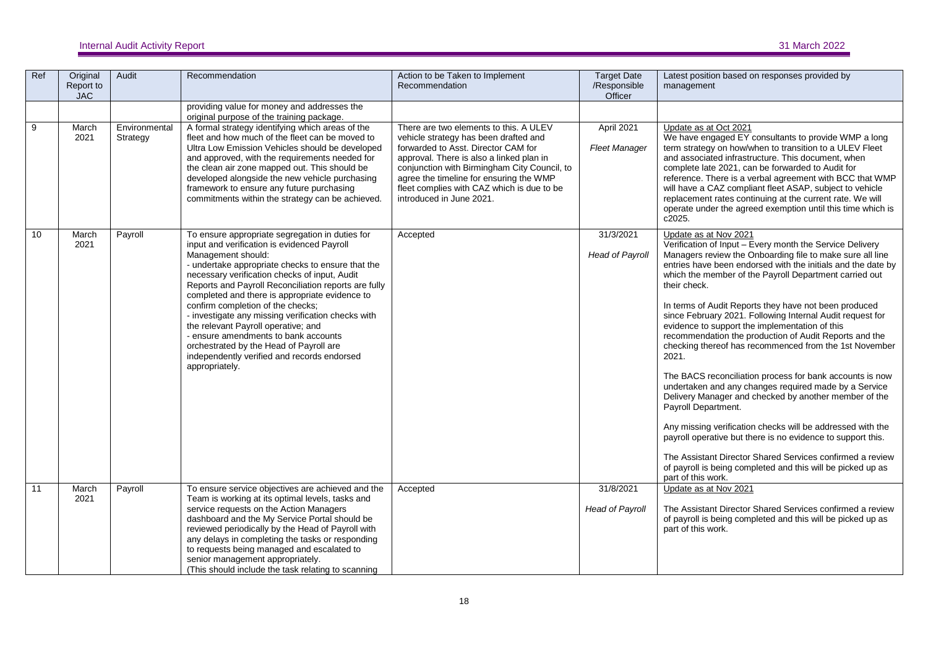| Ref | Original<br>Report to<br><b>JAC</b> | Audit                     | Recommendation                                                                                                                                                                                                                                                                                                                                                                                                                                                                                                                                                                                                             | Action to be Taken to Implement<br>Recommendation                                                                                                                                                                                                                                                                                       | <b>Target Date</b><br>/Responsible<br>Officer | Latest position based on responses provided by<br>management                                                                                                                                                                                                                                                                                                                                                                                                                                                                                                                                                                                                                                                                                                                                                                                                                                                                                                                                                                                                                      |
|-----|-------------------------------------|---------------------------|----------------------------------------------------------------------------------------------------------------------------------------------------------------------------------------------------------------------------------------------------------------------------------------------------------------------------------------------------------------------------------------------------------------------------------------------------------------------------------------------------------------------------------------------------------------------------------------------------------------------------|-----------------------------------------------------------------------------------------------------------------------------------------------------------------------------------------------------------------------------------------------------------------------------------------------------------------------------------------|-----------------------------------------------|-----------------------------------------------------------------------------------------------------------------------------------------------------------------------------------------------------------------------------------------------------------------------------------------------------------------------------------------------------------------------------------------------------------------------------------------------------------------------------------------------------------------------------------------------------------------------------------------------------------------------------------------------------------------------------------------------------------------------------------------------------------------------------------------------------------------------------------------------------------------------------------------------------------------------------------------------------------------------------------------------------------------------------------------------------------------------------------|
|     |                                     |                           | providing value for money and addresses the<br>original purpose of the training package.                                                                                                                                                                                                                                                                                                                                                                                                                                                                                                                                   |                                                                                                                                                                                                                                                                                                                                         |                                               |                                                                                                                                                                                                                                                                                                                                                                                                                                                                                                                                                                                                                                                                                                                                                                                                                                                                                                                                                                                                                                                                                   |
| 9   | March<br>2021                       | Environmental<br>Strategy | A formal strategy identifying which areas of the<br>fleet and how much of the fleet can be moved to<br>Ultra Low Emission Vehicles should be developed<br>and approved, with the requirements needed for<br>the clean air zone mapped out. This should be<br>developed alongside the new vehicle purchasing<br>framework to ensure any future purchasing<br>commitments within the strategy can be achieved.                                                                                                                                                                                                               | There are two elements to this. A ULEV<br>vehicle strategy has been drafted and<br>forwarded to Asst. Director CAM for<br>approval. There is also a linked plan in<br>conjunction with Birmingham City Council, to<br>agree the timeline for ensuring the WMP<br>fleet complies with CAZ which is due to be<br>introduced in June 2021. | April 2021<br><b>Fleet Manager</b>            | Update as at Oct 2021<br>We have engaged EY consultants to provide WMP a long<br>term strategy on how/when to transition to a ULEV Fleet<br>and associated infrastructure. This document, when<br>complete late 2021, can be forwarded to Audit for<br>reference. There is a verbal agreement with BCC that WMP<br>will have a CAZ compliant fleet ASAP, subject to vehicle<br>replacement rates continuing at the current rate. We will<br>operate under the agreed exemption until this time which is<br>c2025.                                                                                                                                                                                                                                                                                                                                                                                                                                                                                                                                                                 |
| 10  | March<br>2021                       | Payroll                   | To ensure appropriate segregation in duties for<br>input and verification is evidenced Payroll<br>Management should:<br>- undertake appropriate checks to ensure that the<br>necessary verification checks of input, Audit<br>Reports and Payroll Reconciliation reports are fully<br>completed and there is appropriate evidence to<br>confirm completion of the checks;<br>- investigate any missing verification checks with<br>the relevant Payroll operative; and<br>- ensure amendments to bank accounts<br>orchestrated by the Head of Payroll are<br>independently verified and records endorsed<br>appropriately. | Accepted                                                                                                                                                                                                                                                                                                                                | 31/3/2021<br><b>Head of Payroll</b>           | Update as at Nov 2021<br>Verification of Input - Every month the Service Delivery<br>Managers review the Onboarding file to make sure all line<br>entries have been endorsed with the initials and the date by<br>which the member of the Payroll Department carried out<br>their check.<br>In terms of Audit Reports they have not been produced<br>since February 2021. Following Internal Audit request for<br>evidence to support the implementation of this<br>recommendation the production of Audit Reports and the<br>checking thereof has recommenced from the 1st November<br>2021.<br>The BACS reconciliation process for bank accounts is now<br>undertaken and any changes required made by a Service<br>Delivery Manager and checked by another member of the<br>Payroll Department.<br>Any missing verification checks will be addressed with the<br>payroll operative but there is no evidence to support this.<br>The Assistant Director Shared Services confirmed a review<br>of payroll is being completed and this will be picked up as<br>part of this work. |
| 11  | March<br>2021                       | Payroll                   | To ensure service objectives are achieved and the<br>Team is working at its optimal levels, tasks and<br>service requests on the Action Managers<br>dashboard and the My Service Portal should be<br>reviewed periodically by the Head of Payroll with<br>any delays in completing the tasks or responding<br>to requests being managed and escalated to<br>senior management appropriately.<br>(This should include the task relating to scanning                                                                                                                                                                         | Accepted                                                                                                                                                                                                                                                                                                                                | 31/8/2021<br><b>Head of Payroll</b>           | Update as at Nov 2021<br>The Assistant Director Shared Services confirmed a review<br>of payroll is being completed and this will be picked up as<br>part of this work.                                                                                                                                                                                                                                                                                                                                                                                                                                                                                                                                                                                                                                                                                                                                                                                                                                                                                                           |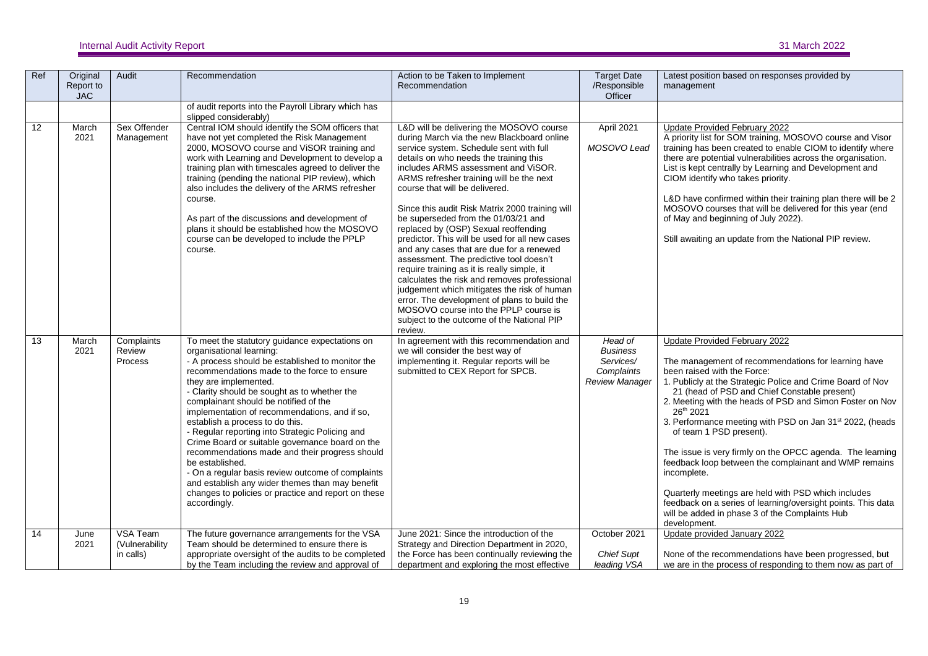| Ref | Original<br>Report to<br><b>JAC</b> | Audit                                   | Recommendation                                                                                                                                                                                                                                                                                                                                                                                                                                                                                                                                                                                                                                                                                                                                | Action to be Taken to Implement<br>Recommendation                                                                                                                                                                                                                                                                                                                                                                                                                                                                                                                                                                                                                                                                                                                                                                                                                           | <b>Target Date</b><br>/Responsible<br>Officer                                  | Latest position based on responses provided by<br>management                                                                                                                                                                                                                                                                                                                                                                                                                                                                                                                                                                                                                                                                                |
|-----|-------------------------------------|-----------------------------------------|-----------------------------------------------------------------------------------------------------------------------------------------------------------------------------------------------------------------------------------------------------------------------------------------------------------------------------------------------------------------------------------------------------------------------------------------------------------------------------------------------------------------------------------------------------------------------------------------------------------------------------------------------------------------------------------------------------------------------------------------------|-----------------------------------------------------------------------------------------------------------------------------------------------------------------------------------------------------------------------------------------------------------------------------------------------------------------------------------------------------------------------------------------------------------------------------------------------------------------------------------------------------------------------------------------------------------------------------------------------------------------------------------------------------------------------------------------------------------------------------------------------------------------------------------------------------------------------------------------------------------------------------|--------------------------------------------------------------------------------|---------------------------------------------------------------------------------------------------------------------------------------------------------------------------------------------------------------------------------------------------------------------------------------------------------------------------------------------------------------------------------------------------------------------------------------------------------------------------------------------------------------------------------------------------------------------------------------------------------------------------------------------------------------------------------------------------------------------------------------------|
|     |                                     |                                         | of audit reports into the Payroll Library which has<br>slipped considerably)                                                                                                                                                                                                                                                                                                                                                                                                                                                                                                                                                                                                                                                                  |                                                                                                                                                                                                                                                                                                                                                                                                                                                                                                                                                                                                                                                                                                                                                                                                                                                                             |                                                                                |                                                                                                                                                                                                                                                                                                                                                                                                                                                                                                                                                                                                                                                                                                                                             |
| 12  | March<br>2021                       | Sex Offender<br>Management              | Central IOM should identify the SOM officers that<br>have not yet completed the Risk Management<br>2000, MOSOVO course and ViSOR training and<br>work with Learning and Development to develop a<br>training plan with timescales agreed to deliver the<br>training (pending the national PIP review), which<br>also includes the delivery of the ARMS refresher<br>course.<br>As part of the discussions and development of<br>plans it should be established how the MOSOVO<br>course can be developed to include the PPLP<br>course.                                                                                                                                                                                                       | L&D will be delivering the MOSOVO course<br>during March via the new Blackboard online<br>service system. Schedule sent with full<br>details on who needs the training this<br>includes ARMS assessment and ViSOR.<br>ARMS refresher training will be the next<br>course that will be delivered.<br>Since this audit Risk Matrix 2000 training will<br>be superseded from the 01/03/21 and<br>replaced by (OSP) Sexual reoffending<br>predictor. This will be used for all new cases<br>and any cases that are due for a renewed<br>assessment. The predictive tool doesn't<br>require training as it is really simple, it<br>calculates the risk and removes professional<br>judgement which mitigates the risk of human<br>error. The development of plans to build the<br>MOSOVO course into the PPLP course is<br>subject to the outcome of the National PIP<br>review. | April 2021<br>MOSOVO Lead                                                      | <b>Update Provided February 2022</b><br>A priority list for SOM training, MOSOVO course and Visor<br>training has been created to enable CIOM to identify where<br>there are potential vulnerabilities across the organisation.<br>List is kept centrally by Learning and Development and<br>CIOM identify who takes priority.<br>L&D have confirmed within their training plan there will be 2<br>MOSOVO courses that will be delivered for this year (end<br>of May and beginning of July 2022).<br>Still awaiting an update from the National PIP review.                                                                                                                                                                                |
| 13  | March<br>2021                       | Complaints<br>Review<br>Process         | To meet the statutory guidance expectations on<br>organisational learning:<br>- A process should be established to monitor the<br>recommendations made to the force to ensure<br>they are implemented.<br>- Clarity should be sought as to whether the<br>complainant should be notified of the<br>implementation of recommendations, and if so,<br>establish a process to do this.<br>- Regular reporting into Strategic Policing and<br>Crime Board or suitable governance board on the<br>recommendations made and their progress should<br>be established.<br>- On a regular basis review outcome of complaints<br>and establish any wider themes than may benefit<br>changes to policies or practice and report on these<br>accordingly. | In agreement with this recommendation and<br>we will consider the best way of<br>implementing it. Regular reports will be<br>submitted to CEX Report for SPCB.                                                                                                                                                                                                                                                                                                                                                                                                                                                                                                                                                                                                                                                                                                              | Head of<br><b>Business</b><br>Services/<br>Complaints<br><b>Review Manager</b> | Update Provided February 2022<br>The management of recommendations for learning have<br>been raised with the Force:<br>1. Publicly at the Strategic Police and Crime Board of Nov<br>21 (head of PSD and Chief Constable present)<br>2. Meeting with the heads of PSD and Simon Foster on Nov<br>26th 2021<br>3. Performance meeting with PSD on Jan 31 <sup>st</sup> 2022, (heads<br>of team 1 PSD present).<br>The issue is very firmly on the OPCC agenda. The learning<br>feedback loop between the complainant and WMP remains<br>incomplete.<br>Quarterly meetings are held with PSD which includes<br>feedback on a series of learning/oversight points. This data<br>will be added in phase 3 of the Complaints Hub<br>development. |
| 14  | June<br>2021                        | VSA Team<br>(Vulnerability<br>in calls) | The future governance arrangements for the VSA<br>Team should be determined to ensure there is<br>appropriate oversight of the audits to be completed<br>by the Team including the review and approval of                                                                                                                                                                                                                                                                                                                                                                                                                                                                                                                                     | June 2021: Since the introduction of the<br>Strategy and Direction Department in 2020,<br>the Force has been continually reviewing the<br>department and exploring the most effective                                                                                                                                                                                                                                                                                                                                                                                                                                                                                                                                                                                                                                                                                       | October 2021<br><b>Chief Supt</b><br>leading VSA                               | Update provided January 2022<br>None of the recommendations have been progressed, but<br>we are in the process of responding to them now as part of                                                                                                                                                                                                                                                                                                                                                                                                                                                                                                                                                                                         |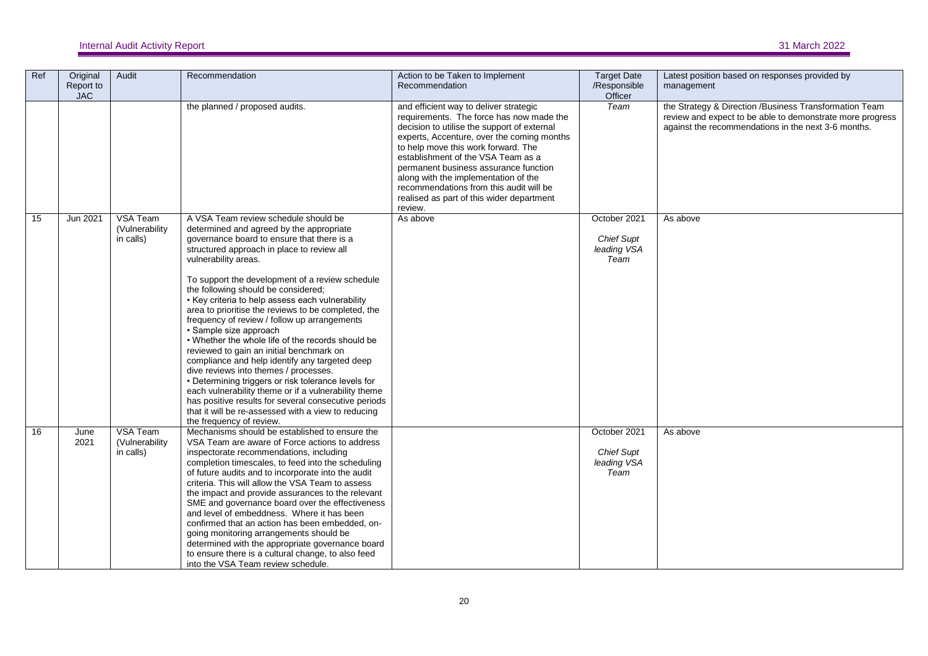| Ref | Original<br>Report to<br><b>JAC</b> | Audit                                   | Recommendation                                                                                                                                                                                                                                                                                                                                                                                                                                                                                                                                                                                                                                                                                                                                                                                                                                                                                                                            | Action to be Taken to Implement<br>Recommendation                                                                                                                                                                                                                                                                                                                                                                                                | <b>Target Date</b><br>/Responsible<br>Officer            | Latest position based on responses provided by<br>management                                                                                                               |
|-----|-------------------------------------|-----------------------------------------|-------------------------------------------------------------------------------------------------------------------------------------------------------------------------------------------------------------------------------------------------------------------------------------------------------------------------------------------------------------------------------------------------------------------------------------------------------------------------------------------------------------------------------------------------------------------------------------------------------------------------------------------------------------------------------------------------------------------------------------------------------------------------------------------------------------------------------------------------------------------------------------------------------------------------------------------|--------------------------------------------------------------------------------------------------------------------------------------------------------------------------------------------------------------------------------------------------------------------------------------------------------------------------------------------------------------------------------------------------------------------------------------------------|----------------------------------------------------------|----------------------------------------------------------------------------------------------------------------------------------------------------------------------------|
|     |                                     |                                         | the planned / proposed audits.                                                                                                                                                                                                                                                                                                                                                                                                                                                                                                                                                                                                                                                                                                                                                                                                                                                                                                            | and efficient way to deliver strategic<br>requirements. The force has now made the<br>decision to utilise the support of external<br>experts, Accenture, over the coming months<br>to help move this work forward. The<br>establishment of the VSA Team as a<br>permanent business assurance function<br>along with the implementation of the<br>recommendations from this audit will be<br>realised as part of this wider department<br>review. | Team                                                     | the Strategy & Direction /Business Transformation Team<br>review and expect to be able to demonstrate more progress<br>against the recommendations in the next 3-6 months. |
| 15  | Jun 2021                            | VSA Team<br>(Vulnerability<br>in calls) | A VSA Team review schedule should be<br>determined and agreed by the appropriate<br>governance board to ensure that there is a<br>structured approach in place to review all<br>vulnerability areas.<br>To support the development of a review schedule<br>the following should be considered;<br>• Key criteria to help assess each vulnerability<br>area to prioritise the reviews to be completed, the<br>frequency of review / follow up arrangements<br>• Sample size approach<br>• Whether the whole life of the records should be<br>reviewed to gain an initial benchmark on<br>compliance and help identify any targeted deep<br>dive reviews into themes / processes.<br>• Determining triggers or risk tolerance levels for<br>each vulnerability theme or if a vulnerability theme<br>has positive results for several consecutive periods<br>that it will be re-assessed with a view to reducing<br>the frequency of review. | As above                                                                                                                                                                                                                                                                                                                                                                                                                                         | October 2021<br><b>Chief Supt</b><br>leading VSA<br>Team | As above                                                                                                                                                                   |
| 16  | June<br>2021                        | VSA Team<br>(Vulnerability<br>in calls) | Mechanisms should be established to ensure the<br>VSA Team are aware of Force actions to address<br>inspectorate recommendations, including<br>completion timescales, to feed into the scheduling<br>of future audits and to incorporate into the audit<br>criteria. This will allow the VSA Team to assess<br>the impact and provide assurances to the relevant<br>SME and governance board over the effectiveness<br>and level of embeddness. Where it has been<br>confirmed that an action has been embedded, on-<br>going monitoring arrangements should be<br>determined with the appropriate governance board<br>to ensure there is a cultural change, to also feed<br>into the VSA Team review schedule.                                                                                                                                                                                                                           |                                                                                                                                                                                                                                                                                                                                                                                                                                                  | October 2021<br><b>Chief Supt</b><br>leading VSA<br>Team | As above                                                                                                                                                                   |